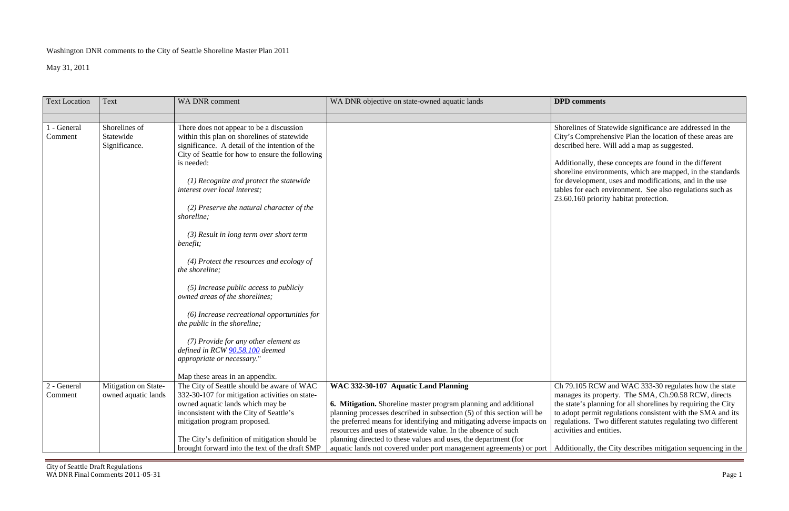# Washington DNR comments to the City of Seattle Shoreline Master Plan 2011

May 31, 2011

nes of Statewide significance are addressed in the City's Comprehensive Plan the location of these areas are described here. Will add a map as suggested.

| <b>Text Location</b> | Text                 | WA DNR comment                                                                          | WA DNR objective on state-owned aquatic lands                          | <b>DPD</b> comments |
|----------------------|----------------------|-----------------------------------------------------------------------------------------|------------------------------------------------------------------------|---------------------|
| 1 - General          | Shorelines of        |                                                                                         |                                                                        | Shorelines of Sta   |
| Comment              | Statewide            | There does not appear to be a discussion<br>within this plan on shorelines of statewide |                                                                        | City's Comprehe     |
|                      | Significance.        | significance. A detail of the intention of the                                          |                                                                        | described here. V   |
|                      |                      | City of Seattle for how to ensure the following                                         |                                                                        |                     |
|                      |                      | is needed:                                                                              |                                                                        | Additionally, the   |
|                      |                      |                                                                                         |                                                                        | shoreline environ   |
|                      |                      | $(1)$ Recognize and protect the statewide                                               |                                                                        | for development,    |
|                      |                      | interest over local interest;                                                           |                                                                        | tables for each er  |
|                      |                      |                                                                                         |                                                                        | 23.60.160 priorit   |
|                      |                      | (2) Preserve the natural character of the                                               |                                                                        |                     |
|                      |                      | shoreline;                                                                              |                                                                        |                     |
|                      |                      |                                                                                         |                                                                        |                     |
|                      |                      | $(3)$ Result in long term over short term                                               |                                                                        |                     |
|                      |                      | benefit;                                                                                |                                                                        |                     |
|                      |                      |                                                                                         |                                                                        |                     |
|                      |                      | (4) Protect the resources and ecology of                                                |                                                                        |                     |
|                      |                      | the shoreline;                                                                          |                                                                        |                     |
|                      |                      |                                                                                         |                                                                        |                     |
|                      |                      | $(5)$ Increase public access to publicly                                                |                                                                        |                     |
|                      |                      | owned areas of the shorelines;                                                          |                                                                        |                     |
|                      |                      |                                                                                         |                                                                        |                     |
|                      |                      | $(6)$ Increase recreational opportunities for                                           |                                                                        |                     |
|                      |                      | the public in the shoreline;                                                            |                                                                        |                     |
|                      |                      |                                                                                         |                                                                        |                     |
|                      |                      | (7) Provide for any other element as<br>defined in RCW 90.58.100 deemed                 |                                                                        |                     |
|                      |                      | appropriate or necessary."                                                              |                                                                        |                     |
|                      |                      |                                                                                         |                                                                        |                     |
|                      |                      | Map these areas in an appendix.                                                         |                                                                        |                     |
| 2 - General          | Mitigation on State- | The City of Seattle should be aware of WAC                                              | WAC 332-30-107 Aquatic Land Planning                                   | Ch 79.105 RCW       |
| Comment              | owned aquatic lands  | 332-30-107 for mitigation activities on state-                                          |                                                                        | manages its prop    |
|                      |                      | owned aquatic lands which may be                                                        | <b>6. Mitigation.</b> Shoreline master program planning and additional | the state's planni  |
|                      |                      | inconsistent with the City of Seattle's                                                 | planning processes described in subsection (5) of this section will be | to adopt permit re  |
|                      |                      | mitigation program proposed.                                                            | the preferred means for identifying and mitigating adverse impacts on  | regulations. Two    |
|                      |                      |                                                                                         | resources and uses of statewide value. In the absence of such          | activities and ent  |
|                      |                      | The City's definition of mitigation should be                                           | planning directed to these values and uses, the department (for        |                     |
|                      |                      | brought forward into the text of the draft SMP                                          | aquatic lands not covered under port management agreements) or port    | Additionally, the   |

105 RCW and WAC 333-30 regulates how the state es its property. The SMA, Ch.90.58 RCW, directs e's planning for all shorelines by requiring the City t permit regulations consistent with the SMA and its ions. Two different statutes regulating two different activities and entities.

bouthing the City describes mitigation sequencing in the

Additionally, these concepts are found in the different shoreline environments, which are mapped, in the standards elopment, uses and modifications, and in the use for each environment. See also regulations such as 23.60.160 priority habitat protection.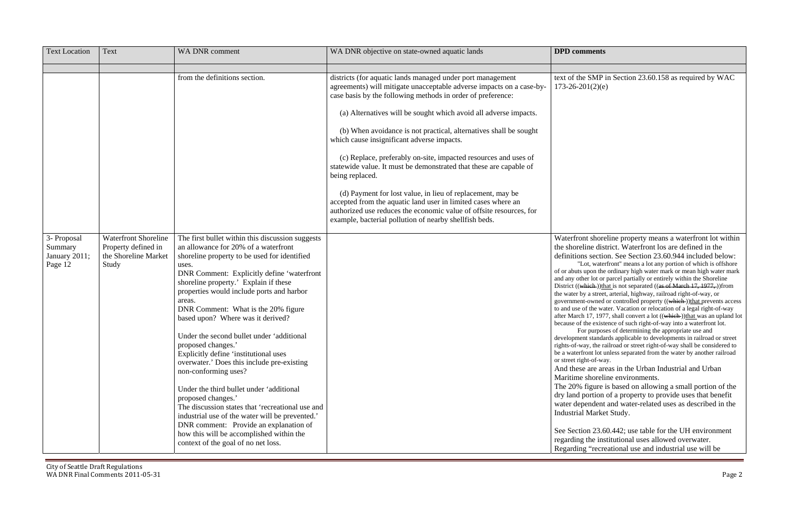he SMP in Section 23.60.158 as required by WAC  $201(2)(e)$ 

| <b>Text Location</b>                               | Text                                                                                | WA DNR comment                                                                                                                                                                                                                                                                                                                                                                                                                                                                                                                                                                                                                                                                                                                                                                                                                                                      | WA DNR objective on state-owned aquatic lands                                                                                                                                                                                                                                                                                                                                                                                                                                                                                                                                                                                                                                                                                                                                                                        | <b>DPD</b> comments                                                                                                                                                                                                                                                                                                                                                                                                                                                                                                                                                                          |
|----------------------------------------------------|-------------------------------------------------------------------------------------|---------------------------------------------------------------------------------------------------------------------------------------------------------------------------------------------------------------------------------------------------------------------------------------------------------------------------------------------------------------------------------------------------------------------------------------------------------------------------------------------------------------------------------------------------------------------------------------------------------------------------------------------------------------------------------------------------------------------------------------------------------------------------------------------------------------------------------------------------------------------|----------------------------------------------------------------------------------------------------------------------------------------------------------------------------------------------------------------------------------------------------------------------------------------------------------------------------------------------------------------------------------------------------------------------------------------------------------------------------------------------------------------------------------------------------------------------------------------------------------------------------------------------------------------------------------------------------------------------------------------------------------------------------------------------------------------------|----------------------------------------------------------------------------------------------------------------------------------------------------------------------------------------------------------------------------------------------------------------------------------------------------------------------------------------------------------------------------------------------------------------------------------------------------------------------------------------------------------------------------------------------------------------------------------------------|
|                                                    |                                                                                     |                                                                                                                                                                                                                                                                                                                                                                                                                                                                                                                                                                                                                                                                                                                                                                                                                                                                     |                                                                                                                                                                                                                                                                                                                                                                                                                                                                                                                                                                                                                                                                                                                                                                                                                      |                                                                                                                                                                                                                                                                                                                                                                                                                                                                                                                                                                                              |
|                                                    |                                                                                     | from the definitions section.                                                                                                                                                                                                                                                                                                                                                                                                                                                                                                                                                                                                                                                                                                                                                                                                                                       | districts (for aquatic lands managed under port management<br>agreements) will mitigate unacceptable adverse impacts on a case-by-<br>case basis by the following methods in order of preference:<br>(a) Alternatives will be sought which avoid all adverse impacts.<br>(b) When avoidance is not practical, alternatives shall be sought<br>which cause insignificant adverse impacts.<br>(c) Replace, preferably on-site, impacted resources and uses of<br>statewide value. It must be demonstrated that these are capable of<br>being replaced.<br>(d) Payment for lost value, in lieu of replacement, may be<br>accepted from the aquatic land user in limited cases where an<br>authorized use reduces the economic value of offsite resources, for<br>example, bacterial pollution of nearby shellfish beds. | text of the SMP i<br>$173 - 26 - 201(2)(e)$                                                                                                                                                                                                                                                                                                                                                                                                                                                                                                                                                  |
| 3- Proposal<br>Summary<br>January 2011;<br>Page 12 | <b>Waterfront Shoreline</b><br>Property defined in<br>the Shoreline Market<br>Study | The first bullet within this discussion suggests<br>an allowance for 20% of a waterfront<br>shoreline property to be used for identified<br>uses.<br>DNR Comment: Explicitly define 'waterfront<br>shoreline property.' Explain if these<br>properties would include ports and harbor<br>areas.<br>DNR Comment: What is the 20% figure<br>based upon? Where was it derived?<br>Under the second bullet under 'additional<br>proposed changes.'<br>Explicitly define 'institutional uses<br>overwater.' Does this include pre-existing<br>non-conforming uses?<br>Under the third bullet under 'additional<br>proposed changes.'<br>The discussion states that 'recreational use and<br>industrial use of the water will be prevented.'<br>DNR comment: Provide an explanation of<br>how this will be accomplished within the<br>context of the goal of no net loss. |                                                                                                                                                                                                                                                                                                                                                                                                                                                                                                                                                                                                                                                                                                                                                                                                                      | Waterfront shore<br>the shoreline dist<br>definitions sectio<br>"Lot, water<br>of or abuts upon the<br>and any other lot or<br>District ((which))tha<br>the water by a street,<br>government-owned<br>to and use of the wat<br>after March 17, 1977<br>because of the existe<br>For purpose<br>development standar<br>rights-of-way, the ra<br>be a waterfront lot u<br>or street right-of-way<br>And these are are<br>Maritime shoreli<br>The 20% figure i<br>dry land portion<br>water dependent<br><b>Industrial Market</b><br>See Section 23.6<br>regarding the inst<br>Regarding "recre |

ont shoreline property means a waterfront lot within the shoreline district. Waterfront los are defined in the ns section. See Section 23.60.944 included below: Lot, waterfront" means a lot any portion of which is offshore upon the ordinary high water mark or mean high water mark ther lot or parcel partially or entirely within the Shoreline which ))that is not separated ((as of March 17, 1977, ))from by a street, arterial, highway, railroad right-of-way, or nt-owned or controlled property ((which ))that prevents access of the water. Vacation or relocation of a legal right-of-way th 17, 1977, shall convert a lot ((which ))that was an upland lot f the existence of such right-of-way into a waterfront lot. For purposes of determining the appropriate use and ent standards applicable to developments in railroad or street way, the railroad or street right-of-way shall be considered to front lot unless separated from the water by another railroad ght-of-way. And these are areas in the Urban Industrial and Urban

Maritime shoreline environments.

figure is based on allowing a small portion of the portion of a property to provide uses that benefit pendent and water-related uses as described in the al Market Study.

 $\frac{23.60.442}{\text{m}}$  use table for the UH environment g the institutional uses allowed overwater. ng "recreational use and industrial use will be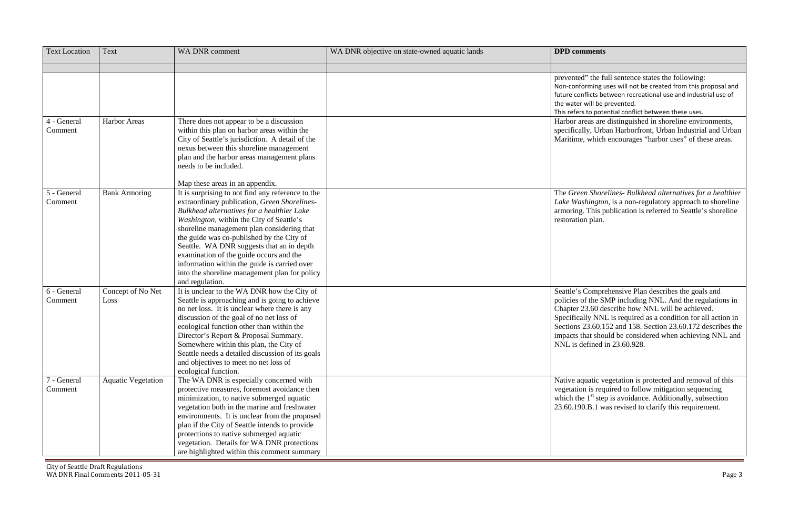ed" the full sentence states the following: forming uses will not be created from this proposal and e conflicts between recreational use and industrial use of r will be prevented.

s refers to potential conflict between these uses.

areas are distinguished in shoreline environments, ally, Urban Harborfront, Urban Industrial and Urban ne, which encourages "harbor uses" of these areas.

 The *Green Shorelines- Bulkhead alternatives for a healthier ashington*, is a non-regulatory approach to shoreline ag. This publication is referred to Seattle's shoreline ion plan.

Second Comprehensive Plan describes the goals and of the SMP including NNL. And the regulations in : 23.60 describe how NNL will be achieved. cally NNL is required as a condition for all action in Sections 23.60.152 and 158. Section 23.60.172 describes the that should be considered when achieving NNL and defined in 23.60.928.

> aquatic vegetation is protected and removal of this on is required to follow mitigation sequencing ne  $1<sup>st</sup>$  step is avoidance. Additionally, subsection 90.B.1 was revised to clarify this requirement.

| <b>Text Location</b>   | Text                      | <b>WA DNR</b> comment                                                                                                                                                                                                                                                                                                                                                                                                                                                                                                                 | WA DNR objective on state-owned aquatic lands | <b>DPD</b> comments                                                                                                                          |
|------------------------|---------------------------|---------------------------------------------------------------------------------------------------------------------------------------------------------------------------------------------------------------------------------------------------------------------------------------------------------------------------------------------------------------------------------------------------------------------------------------------------------------------------------------------------------------------------------------|-----------------------------------------------|----------------------------------------------------------------------------------------------------------------------------------------------|
|                        |                           |                                                                                                                                                                                                                                                                                                                                                                                                                                                                                                                                       |                                               |                                                                                                                                              |
|                        |                           |                                                                                                                                                                                                                                                                                                                                                                                                                                                                                                                                       |                                               | prevented" the fu<br>Non-conforming u<br>future conflicts be<br>the water will be p<br>This refers to pote                                   |
| 4 - General<br>Comment | <b>Harbor Areas</b>       | There does not appear to be a discussion<br>within this plan on harbor areas within the<br>City of Seattle's jurisdiction. A detail of the<br>nexus between this shoreline management<br>plan and the harbor areas management plans<br>needs to be included.                                                                                                                                                                                                                                                                          |                                               | Harbor areas are<br>specifically, Urba<br>Maritime, which                                                                                    |
| 5 - General<br>Comment | <b>Bank Armoring</b>      | Map these areas in an appendix.<br>It is surprising to not find any reference to the<br>extraordinary publication, Green Shorelines-<br>Bulkhead alternatives for a healthier Lake<br>Washington, within the City of Seattle's<br>shoreline management plan considering that<br>the guide was co-published by the City of<br>Seattle. WA DNR suggests that an in depth<br>examination of the guide occurs and the<br>information within the guide is carried over<br>into the shoreline management plan for policy<br>and regulation. |                                               | The Green Shore<br>Lake Washington<br>armoring. This po<br>restoration plan.                                                                 |
| 6 - General<br>Comment | Concept of No Net<br>Loss | It is unclear to the WA DNR how the City of<br>Seattle is approaching and is going to achieve<br>no net loss. It is unclear where there is any<br>discussion of the goal of no net loss of<br>ecological function other than within the<br>Director's Report & Proposal Summary.<br>Somewhere within this plan, the City of<br>Seattle needs a detailed discussion of its goals<br>and objectives to meet no net loss of<br>ecological function.                                                                                      |                                               | Seattle's Compre<br>policies of the SN<br>Chapter 23.60 de<br>Specifically NNI<br>Sections 23.60.1:<br>impacts that shou<br>NNL is defined i |
| 7 - General<br>Comment | <b>Aquatic Vegetation</b> | The WA DNR is especially concerned with<br>protective measures, foremost avoidance then<br>minimization, to native submerged aquatic<br>vegetation both in the marine and freshwater<br>environments. It is unclear from the proposed<br>plan if the City of Seattle intends to provide<br>protections to native submerged aquatic<br>vegetation. Details for WA DNR protections<br>are highlighted within this comment summary                                                                                                       |                                               | Native aquatic ve<br>vegetation is requ<br>which the $1st$ step<br>23.60.190.B.1 wa                                                          |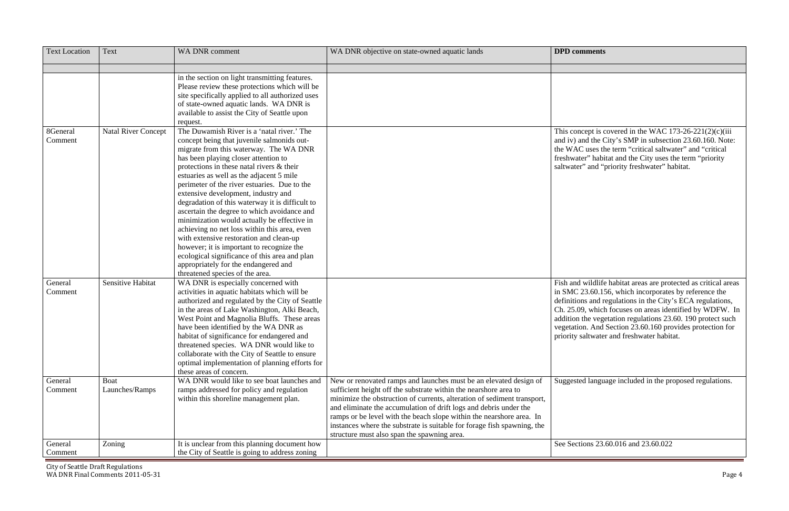$T$  is covered in the WAC 173-26-221(2)(c)(iii) and iv) and the City's SMP in subsection 23.60.160. Note: the WAC uses the term "critical saltwater" and "critical ater" habitat and the City uses the term "priority er" and "priority freshwater" habitat.

d wildlife habitat areas are protected as critical areas  $\frac{1}{23.60.156}$ , which incorporates by reference the definitions and regulations in the City's ECA regulations, Ch. 25.09, which focuses on areas identified by WDFW. In the vegetation regulations  $23.60$ . 190 protect such ion. And Section  $23.60.160$  provides protection for priority saltwater and freshwater habitat.

ted language included in the proposed regulations.

 $\varepsilon$ tions 23.60.016 and 23.60.022

| <b>Text Location</b> | Text                       | WA DNR comment                                                            | WA DNR objective on state-owned aquatic lands                                                                                             | <b>DPD</b> comments |
|----------------------|----------------------------|---------------------------------------------------------------------------|-------------------------------------------------------------------------------------------------------------------------------------------|---------------------|
|                      |                            | in the section on light transmitting features.                            |                                                                                                                                           |                     |
|                      |                            | Please review these protections which will be                             |                                                                                                                                           |                     |
|                      |                            | site specifically applied to all authorized uses                          |                                                                                                                                           |                     |
|                      |                            | of state-owned aquatic lands. WA DNR is                                   |                                                                                                                                           |                     |
|                      |                            | available to assist the City of Seattle upon                              |                                                                                                                                           |                     |
|                      |                            | request.                                                                  |                                                                                                                                           |                     |
| 8General             | <b>Natal River Concept</b> | The Duwamish River is a 'natal river.' The                                |                                                                                                                                           | This concept is c   |
| Comment              |                            | concept being that juvenile salmonids out-                                |                                                                                                                                           | and iv) and the C   |
|                      |                            | migrate from this waterway. The WA DNR                                    |                                                                                                                                           | the WAC uses th     |
|                      |                            | has been playing closer attention to                                      |                                                                                                                                           | freshwater" habit   |
|                      |                            | protections in these natal rivers $\&$ their                              |                                                                                                                                           | saltwater" and "p   |
|                      |                            | estuaries as well as the adjacent 5 mile                                  |                                                                                                                                           |                     |
|                      |                            | perimeter of the river estuaries. Due to the                              |                                                                                                                                           |                     |
|                      |                            | extensive development, industry and                                       |                                                                                                                                           |                     |
|                      |                            | degradation of this waterway it is difficult to                           |                                                                                                                                           |                     |
|                      |                            | ascertain the degree to which avoidance and                               |                                                                                                                                           |                     |
|                      |                            | minimization would actually be effective in                               |                                                                                                                                           |                     |
|                      |                            | achieving no net loss within this area, even                              |                                                                                                                                           |                     |
|                      |                            | with extensive restoration and clean-up                                   |                                                                                                                                           |                     |
|                      |                            | however; it is important to recognize the                                 |                                                                                                                                           |                     |
|                      |                            | ecological significance of this area and plan                             |                                                                                                                                           |                     |
|                      |                            | appropriately for the endangered and                                      |                                                                                                                                           |                     |
|                      |                            | threatened species of the area.                                           |                                                                                                                                           |                     |
| General              | Sensitive Habitat          | WA DNR is especially concerned with                                       |                                                                                                                                           | Fish and wildlife   |
| Comment              |                            | activities in aquatic habitats which will be                              |                                                                                                                                           | in SMC 23.60.15     |
|                      |                            | authorized and regulated by the City of Seattle                           |                                                                                                                                           | definitions and re  |
|                      |                            | in the areas of Lake Washington, Alki Beach,                              |                                                                                                                                           | Ch. 25.09, which    |
|                      |                            | West Point and Magnolia Bluffs. These areas                               |                                                                                                                                           | addition the vege   |
|                      |                            | have been identified by the WA DNR as                                     |                                                                                                                                           | vegetation. And S   |
|                      |                            | habitat of significance for endangered and                                |                                                                                                                                           | priority saltwater  |
|                      |                            | threatened species. WA DNR would like to                                  |                                                                                                                                           |                     |
|                      |                            | collaborate with the City of Seattle to ensure                            |                                                                                                                                           |                     |
|                      |                            | optimal implementation of planning efforts for<br>these areas of concern. |                                                                                                                                           |                     |
|                      | <b>Boat</b>                | WA DNR would like to see boat launches and                                |                                                                                                                                           |                     |
| General              |                            |                                                                           | New or renovated ramps and launches must be an elevated design of                                                                         | Suggested langua    |
| Comment              | Launches/Ramps             | ramps addressed for policy and regulation                                 | sufficient height off the substrate within the nearshore area to                                                                          |                     |
|                      |                            | within this shoreline management plan.                                    | minimize the obstruction of currents, alteration of sediment transport,                                                                   |                     |
|                      |                            |                                                                           | and eliminate the accumulation of drift logs and debris under the<br>ramps or be level with the beach slope within the nearshore area. In |                     |
|                      |                            |                                                                           | instances where the substrate is suitable for forage fish spawning, the                                                                   |                     |
|                      |                            |                                                                           | structure must also span the spawning area.                                                                                               |                     |
| General              | Zoning                     | It is unclear from this planning document how                             |                                                                                                                                           | See Sections 23.6   |
| Comment              |                            | the City of Seattle is going to address zoning                            |                                                                                                                                           |                     |
|                      |                            |                                                                           |                                                                                                                                           |                     |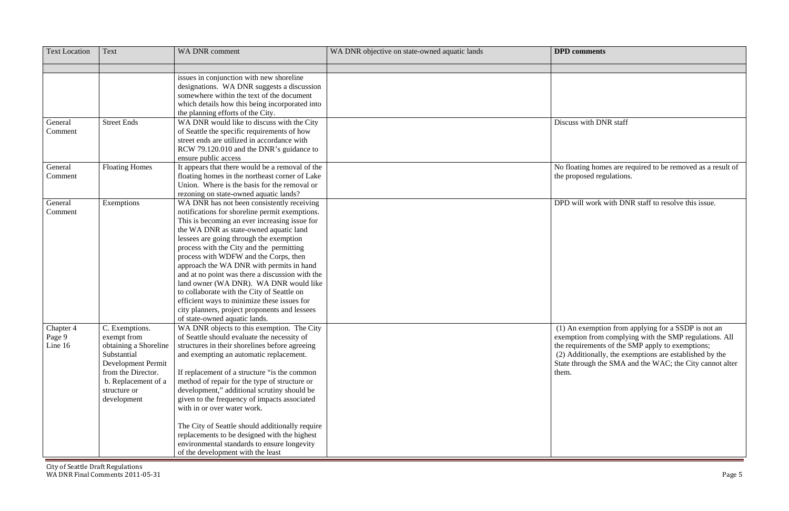| issues in conjunction with new shoreline<br>designations. WA DNR suggests a discussion<br>somewhere within the text of the document<br>which details how this being incorporated into<br>the planning efforts of the City.<br>WA DNR would like to discuss with the City<br><b>Street Ends</b><br>Discuss with DNR staff<br>General<br>Comment<br>of Seattle the specific requirements of how<br>street ends are utilized in accordance with<br>RCW 79.120.010 and the DNR's guidance to<br>ensure public access<br><b>Floating Homes</b><br>It appears that there would be a removal of the<br>No floating homes are required to be removed as a result of<br>General<br>floating homes in the northeast corner of Lake<br>Comment<br>the proposed regulations.<br>Union. Where is the basis for the removal or<br>rezoning on state-owned aquatic lands?<br>DPD will work with DNR staff to resolve this issue.<br>General<br>WA DNR has not been consistently receiving<br>Exemptions<br>Comment<br>notifications for shoreline permit exemptions.<br>This is becoming an ever increasing issue for<br>the WA DNR as state-owned aquatic land<br>lessees are going through the exemption<br>process with the City and the permitting<br>process with WDFW and the Corps, then<br>approach the WA DNR with permits in hand<br>and at no point was there a discussion with the<br>land owner (WA DNR). WA DNR would like<br>to collaborate with the City of Seattle on<br>efficient ways to minimize these issues for<br>city planners, project proponents and lessees<br>of state-owned aquatic lands.<br>(1) An exemption from applying for a SSDP is not an<br>Chapter 4<br>C. Exemptions.<br>WA DNR objects to this exemption. The City<br>of Seattle should evaluate the necessity of<br>exemption from complying with the SMP regulations. All<br>Page 9<br>exempt from<br>Line 16<br>obtaining a Shoreline<br>structures in their shorelines before agreeing<br>the requirements of the SMP apply to exemptions;<br>Substantial<br>(2) Additionally, the exemptions are established by the<br>and exempting an automatic replacement.<br>State through the SMA and the WAC; the City cannot alter<br>Development Permit<br>from the Director.<br>If replacement of a structure "is the common"<br>them.<br>b. Replacement of a<br>method of repair for the type of structure or<br>development," additional scrutiny should be<br>structure or<br>given to the frequency of impacts associated<br>development<br>with in or over water work.<br>The City of Seattle should additionally require | <b>Text Location</b> | Text | WA DNR comment                               | WA DNR objective on state-owned aquatic lands | <b>DPD</b> comments |
|---------------------------------------------------------------------------------------------------------------------------------------------------------------------------------------------------------------------------------------------------------------------------------------------------------------------------------------------------------------------------------------------------------------------------------------------------------------------------------------------------------------------------------------------------------------------------------------------------------------------------------------------------------------------------------------------------------------------------------------------------------------------------------------------------------------------------------------------------------------------------------------------------------------------------------------------------------------------------------------------------------------------------------------------------------------------------------------------------------------------------------------------------------------------------------------------------------------------------------------------------------------------------------------------------------------------------------------------------------------------------------------------------------------------------------------------------------------------------------------------------------------------------------------------------------------------------------------------------------------------------------------------------------------------------------------------------------------------------------------------------------------------------------------------------------------------------------------------------------------------------------------------------------------------------------------------------------------------------------------------------------------------------------------------------------------------------------------------------------------------------------------------------------------------------------------------------------------------------------------------------------------------------------------------------------------------------------------------------------------------------------------------------------------------------------------------------------------------------------------------------------------------------------------------------------------------------------------------------------|----------------------|------|----------------------------------------------|-----------------------------------------------|---------------------|
|                                                                                                                                                                                                                                                                                                                                                                                                                                                                                                                                                                                                                                                                                                                                                                                                                                                                                                                                                                                                                                                                                                                                                                                                                                                                                                                                                                                                                                                                                                                                                                                                                                                                                                                                                                                                                                                                                                                                                                                                                                                                                                                                                                                                                                                                                                                                                                                                                                                                                                                                                                                                         |                      |      |                                              |                                               |                     |
|                                                                                                                                                                                                                                                                                                                                                                                                                                                                                                                                                                                                                                                                                                                                                                                                                                                                                                                                                                                                                                                                                                                                                                                                                                                                                                                                                                                                                                                                                                                                                                                                                                                                                                                                                                                                                                                                                                                                                                                                                                                                                                                                                                                                                                                                                                                                                                                                                                                                                                                                                                                                         |                      |      |                                              |                                               |                     |
|                                                                                                                                                                                                                                                                                                                                                                                                                                                                                                                                                                                                                                                                                                                                                                                                                                                                                                                                                                                                                                                                                                                                                                                                                                                                                                                                                                                                                                                                                                                                                                                                                                                                                                                                                                                                                                                                                                                                                                                                                                                                                                                                                                                                                                                                                                                                                                                                                                                                                                                                                                                                         |                      |      |                                              |                                               |                     |
|                                                                                                                                                                                                                                                                                                                                                                                                                                                                                                                                                                                                                                                                                                                                                                                                                                                                                                                                                                                                                                                                                                                                                                                                                                                                                                                                                                                                                                                                                                                                                                                                                                                                                                                                                                                                                                                                                                                                                                                                                                                                                                                                                                                                                                                                                                                                                                                                                                                                                                                                                                                                         |                      |      |                                              |                                               |                     |
|                                                                                                                                                                                                                                                                                                                                                                                                                                                                                                                                                                                                                                                                                                                                                                                                                                                                                                                                                                                                                                                                                                                                                                                                                                                                                                                                                                                                                                                                                                                                                                                                                                                                                                                                                                                                                                                                                                                                                                                                                                                                                                                                                                                                                                                                                                                                                                                                                                                                                                                                                                                                         |                      |      |                                              |                                               |                     |
|                                                                                                                                                                                                                                                                                                                                                                                                                                                                                                                                                                                                                                                                                                                                                                                                                                                                                                                                                                                                                                                                                                                                                                                                                                                                                                                                                                                                                                                                                                                                                                                                                                                                                                                                                                                                                                                                                                                                                                                                                                                                                                                                                                                                                                                                                                                                                                                                                                                                                                                                                                                                         |                      |      |                                              |                                               |                     |
|                                                                                                                                                                                                                                                                                                                                                                                                                                                                                                                                                                                                                                                                                                                                                                                                                                                                                                                                                                                                                                                                                                                                                                                                                                                                                                                                                                                                                                                                                                                                                                                                                                                                                                                                                                                                                                                                                                                                                                                                                                                                                                                                                                                                                                                                                                                                                                                                                                                                                                                                                                                                         |                      |      |                                              |                                               |                     |
|                                                                                                                                                                                                                                                                                                                                                                                                                                                                                                                                                                                                                                                                                                                                                                                                                                                                                                                                                                                                                                                                                                                                                                                                                                                                                                                                                                                                                                                                                                                                                                                                                                                                                                                                                                                                                                                                                                                                                                                                                                                                                                                                                                                                                                                                                                                                                                                                                                                                                                                                                                                                         |                      |      |                                              |                                               |                     |
|                                                                                                                                                                                                                                                                                                                                                                                                                                                                                                                                                                                                                                                                                                                                                                                                                                                                                                                                                                                                                                                                                                                                                                                                                                                                                                                                                                                                                                                                                                                                                                                                                                                                                                                                                                                                                                                                                                                                                                                                                                                                                                                                                                                                                                                                                                                                                                                                                                                                                                                                                                                                         |                      |      |                                              |                                               |                     |
|                                                                                                                                                                                                                                                                                                                                                                                                                                                                                                                                                                                                                                                                                                                                                                                                                                                                                                                                                                                                                                                                                                                                                                                                                                                                                                                                                                                                                                                                                                                                                                                                                                                                                                                                                                                                                                                                                                                                                                                                                                                                                                                                                                                                                                                                                                                                                                                                                                                                                                                                                                                                         |                      |      |                                              |                                               |                     |
|                                                                                                                                                                                                                                                                                                                                                                                                                                                                                                                                                                                                                                                                                                                                                                                                                                                                                                                                                                                                                                                                                                                                                                                                                                                                                                                                                                                                                                                                                                                                                                                                                                                                                                                                                                                                                                                                                                                                                                                                                                                                                                                                                                                                                                                                                                                                                                                                                                                                                                                                                                                                         |                      |      |                                              |                                               |                     |
|                                                                                                                                                                                                                                                                                                                                                                                                                                                                                                                                                                                                                                                                                                                                                                                                                                                                                                                                                                                                                                                                                                                                                                                                                                                                                                                                                                                                                                                                                                                                                                                                                                                                                                                                                                                                                                                                                                                                                                                                                                                                                                                                                                                                                                                                                                                                                                                                                                                                                                                                                                                                         |                      |      |                                              |                                               |                     |
|                                                                                                                                                                                                                                                                                                                                                                                                                                                                                                                                                                                                                                                                                                                                                                                                                                                                                                                                                                                                                                                                                                                                                                                                                                                                                                                                                                                                                                                                                                                                                                                                                                                                                                                                                                                                                                                                                                                                                                                                                                                                                                                                                                                                                                                                                                                                                                                                                                                                                                                                                                                                         |                      |      |                                              |                                               |                     |
|                                                                                                                                                                                                                                                                                                                                                                                                                                                                                                                                                                                                                                                                                                                                                                                                                                                                                                                                                                                                                                                                                                                                                                                                                                                                                                                                                                                                                                                                                                                                                                                                                                                                                                                                                                                                                                                                                                                                                                                                                                                                                                                                                                                                                                                                                                                                                                                                                                                                                                                                                                                                         |                      |      |                                              |                                               |                     |
|                                                                                                                                                                                                                                                                                                                                                                                                                                                                                                                                                                                                                                                                                                                                                                                                                                                                                                                                                                                                                                                                                                                                                                                                                                                                                                                                                                                                                                                                                                                                                                                                                                                                                                                                                                                                                                                                                                                                                                                                                                                                                                                                                                                                                                                                                                                                                                                                                                                                                                                                                                                                         |                      |      |                                              |                                               |                     |
|                                                                                                                                                                                                                                                                                                                                                                                                                                                                                                                                                                                                                                                                                                                                                                                                                                                                                                                                                                                                                                                                                                                                                                                                                                                                                                                                                                                                                                                                                                                                                                                                                                                                                                                                                                                                                                                                                                                                                                                                                                                                                                                                                                                                                                                                                                                                                                                                                                                                                                                                                                                                         |                      |      |                                              |                                               |                     |
|                                                                                                                                                                                                                                                                                                                                                                                                                                                                                                                                                                                                                                                                                                                                                                                                                                                                                                                                                                                                                                                                                                                                                                                                                                                                                                                                                                                                                                                                                                                                                                                                                                                                                                                                                                                                                                                                                                                                                                                                                                                                                                                                                                                                                                                                                                                                                                                                                                                                                                                                                                                                         |                      |      |                                              |                                               |                     |
|                                                                                                                                                                                                                                                                                                                                                                                                                                                                                                                                                                                                                                                                                                                                                                                                                                                                                                                                                                                                                                                                                                                                                                                                                                                                                                                                                                                                                                                                                                                                                                                                                                                                                                                                                                                                                                                                                                                                                                                                                                                                                                                                                                                                                                                                                                                                                                                                                                                                                                                                                                                                         |                      |      |                                              |                                               |                     |
|                                                                                                                                                                                                                                                                                                                                                                                                                                                                                                                                                                                                                                                                                                                                                                                                                                                                                                                                                                                                                                                                                                                                                                                                                                                                                                                                                                                                                                                                                                                                                                                                                                                                                                                                                                                                                                                                                                                                                                                                                                                                                                                                                                                                                                                                                                                                                                                                                                                                                                                                                                                                         |                      |      |                                              |                                               |                     |
|                                                                                                                                                                                                                                                                                                                                                                                                                                                                                                                                                                                                                                                                                                                                                                                                                                                                                                                                                                                                                                                                                                                                                                                                                                                                                                                                                                                                                                                                                                                                                                                                                                                                                                                                                                                                                                                                                                                                                                                                                                                                                                                                                                                                                                                                                                                                                                                                                                                                                                                                                                                                         |                      |      |                                              |                                               |                     |
|                                                                                                                                                                                                                                                                                                                                                                                                                                                                                                                                                                                                                                                                                                                                                                                                                                                                                                                                                                                                                                                                                                                                                                                                                                                                                                                                                                                                                                                                                                                                                                                                                                                                                                                                                                                                                                                                                                                                                                                                                                                                                                                                                                                                                                                                                                                                                                                                                                                                                                                                                                                                         |                      |      |                                              |                                               |                     |
|                                                                                                                                                                                                                                                                                                                                                                                                                                                                                                                                                                                                                                                                                                                                                                                                                                                                                                                                                                                                                                                                                                                                                                                                                                                                                                                                                                                                                                                                                                                                                                                                                                                                                                                                                                                                                                                                                                                                                                                                                                                                                                                                                                                                                                                                                                                                                                                                                                                                                                                                                                                                         |                      |      |                                              |                                               |                     |
|                                                                                                                                                                                                                                                                                                                                                                                                                                                                                                                                                                                                                                                                                                                                                                                                                                                                                                                                                                                                                                                                                                                                                                                                                                                                                                                                                                                                                                                                                                                                                                                                                                                                                                                                                                                                                                                                                                                                                                                                                                                                                                                                                                                                                                                                                                                                                                                                                                                                                                                                                                                                         |                      |      |                                              |                                               |                     |
|                                                                                                                                                                                                                                                                                                                                                                                                                                                                                                                                                                                                                                                                                                                                                                                                                                                                                                                                                                                                                                                                                                                                                                                                                                                                                                                                                                                                                                                                                                                                                                                                                                                                                                                                                                                                                                                                                                                                                                                                                                                                                                                                                                                                                                                                                                                                                                                                                                                                                                                                                                                                         |                      |      |                                              |                                               |                     |
|                                                                                                                                                                                                                                                                                                                                                                                                                                                                                                                                                                                                                                                                                                                                                                                                                                                                                                                                                                                                                                                                                                                                                                                                                                                                                                                                                                                                                                                                                                                                                                                                                                                                                                                                                                                                                                                                                                                                                                                                                                                                                                                                                                                                                                                                                                                                                                                                                                                                                                                                                                                                         |                      |      |                                              |                                               |                     |
|                                                                                                                                                                                                                                                                                                                                                                                                                                                                                                                                                                                                                                                                                                                                                                                                                                                                                                                                                                                                                                                                                                                                                                                                                                                                                                                                                                                                                                                                                                                                                                                                                                                                                                                                                                                                                                                                                                                                                                                                                                                                                                                                                                                                                                                                                                                                                                                                                                                                                                                                                                                                         |                      |      |                                              |                                               |                     |
|                                                                                                                                                                                                                                                                                                                                                                                                                                                                                                                                                                                                                                                                                                                                                                                                                                                                                                                                                                                                                                                                                                                                                                                                                                                                                                                                                                                                                                                                                                                                                                                                                                                                                                                                                                                                                                                                                                                                                                                                                                                                                                                                                                                                                                                                                                                                                                                                                                                                                                                                                                                                         |                      |      |                                              |                                               |                     |
|                                                                                                                                                                                                                                                                                                                                                                                                                                                                                                                                                                                                                                                                                                                                                                                                                                                                                                                                                                                                                                                                                                                                                                                                                                                                                                                                                                                                                                                                                                                                                                                                                                                                                                                                                                                                                                                                                                                                                                                                                                                                                                                                                                                                                                                                                                                                                                                                                                                                                                                                                                                                         |                      |      |                                              |                                               |                     |
|                                                                                                                                                                                                                                                                                                                                                                                                                                                                                                                                                                                                                                                                                                                                                                                                                                                                                                                                                                                                                                                                                                                                                                                                                                                                                                                                                                                                                                                                                                                                                                                                                                                                                                                                                                                                                                                                                                                                                                                                                                                                                                                                                                                                                                                                                                                                                                                                                                                                                                                                                                                                         |                      |      |                                              |                                               |                     |
|                                                                                                                                                                                                                                                                                                                                                                                                                                                                                                                                                                                                                                                                                                                                                                                                                                                                                                                                                                                                                                                                                                                                                                                                                                                                                                                                                                                                                                                                                                                                                                                                                                                                                                                                                                                                                                                                                                                                                                                                                                                                                                                                                                                                                                                                                                                                                                                                                                                                                                                                                                                                         |                      |      |                                              |                                               |                     |
|                                                                                                                                                                                                                                                                                                                                                                                                                                                                                                                                                                                                                                                                                                                                                                                                                                                                                                                                                                                                                                                                                                                                                                                                                                                                                                                                                                                                                                                                                                                                                                                                                                                                                                                                                                                                                                                                                                                                                                                                                                                                                                                                                                                                                                                                                                                                                                                                                                                                                                                                                                                                         |                      |      |                                              |                                               |                     |
|                                                                                                                                                                                                                                                                                                                                                                                                                                                                                                                                                                                                                                                                                                                                                                                                                                                                                                                                                                                                                                                                                                                                                                                                                                                                                                                                                                                                                                                                                                                                                                                                                                                                                                                                                                                                                                                                                                                                                                                                                                                                                                                                                                                                                                                                                                                                                                                                                                                                                                                                                                                                         |                      |      |                                              |                                               |                     |
|                                                                                                                                                                                                                                                                                                                                                                                                                                                                                                                                                                                                                                                                                                                                                                                                                                                                                                                                                                                                                                                                                                                                                                                                                                                                                                                                                                                                                                                                                                                                                                                                                                                                                                                                                                                                                                                                                                                                                                                                                                                                                                                                                                                                                                                                                                                                                                                                                                                                                                                                                                                                         |                      |      |                                              |                                               |                     |
|                                                                                                                                                                                                                                                                                                                                                                                                                                                                                                                                                                                                                                                                                                                                                                                                                                                                                                                                                                                                                                                                                                                                                                                                                                                                                                                                                                                                                                                                                                                                                                                                                                                                                                                                                                                                                                                                                                                                                                                                                                                                                                                                                                                                                                                                                                                                                                                                                                                                                                                                                                                                         |                      |      |                                              |                                               |                     |
|                                                                                                                                                                                                                                                                                                                                                                                                                                                                                                                                                                                                                                                                                                                                                                                                                                                                                                                                                                                                                                                                                                                                                                                                                                                                                                                                                                                                                                                                                                                                                                                                                                                                                                                                                                                                                                                                                                                                                                                                                                                                                                                                                                                                                                                                                                                                                                                                                                                                                                                                                                                                         |                      |      |                                              |                                               |                     |
|                                                                                                                                                                                                                                                                                                                                                                                                                                                                                                                                                                                                                                                                                                                                                                                                                                                                                                                                                                                                                                                                                                                                                                                                                                                                                                                                                                                                                                                                                                                                                                                                                                                                                                                                                                                                                                                                                                                                                                                                                                                                                                                                                                                                                                                                                                                                                                                                                                                                                                                                                                                                         |                      |      |                                              |                                               |                     |
|                                                                                                                                                                                                                                                                                                                                                                                                                                                                                                                                                                                                                                                                                                                                                                                                                                                                                                                                                                                                                                                                                                                                                                                                                                                                                                                                                                                                                                                                                                                                                                                                                                                                                                                                                                                                                                                                                                                                                                                                                                                                                                                                                                                                                                                                                                                                                                                                                                                                                                                                                                                                         |                      |      |                                              |                                               |                     |
|                                                                                                                                                                                                                                                                                                                                                                                                                                                                                                                                                                                                                                                                                                                                                                                                                                                                                                                                                                                                                                                                                                                                                                                                                                                                                                                                                                                                                                                                                                                                                                                                                                                                                                                                                                                                                                                                                                                                                                                                                                                                                                                                                                                                                                                                                                                                                                                                                                                                                                                                                                                                         |                      |      |                                              |                                               |                     |
|                                                                                                                                                                                                                                                                                                                                                                                                                                                                                                                                                                                                                                                                                                                                                                                                                                                                                                                                                                                                                                                                                                                                                                                                                                                                                                                                                                                                                                                                                                                                                                                                                                                                                                                                                                                                                                                                                                                                                                                                                                                                                                                                                                                                                                                                                                                                                                                                                                                                                                                                                                                                         |                      |      |                                              |                                               |                     |
|                                                                                                                                                                                                                                                                                                                                                                                                                                                                                                                                                                                                                                                                                                                                                                                                                                                                                                                                                                                                                                                                                                                                                                                                                                                                                                                                                                                                                                                                                                                                                                                                                                                                                                                                                                                                                                                                                                                                                                                                                                                                                                                                                                                                                                                                                                                                                                                                                                                                                                                                                                                                         |                      |      |                                              |                                               |                     |
|                                                                                                                                                                                                                                                                                                                                                                                                                                                                                                                                                                                                                                                                                                                                                                                                                                                                                                                                                                                                                                                                                                                                                                                                                                                                                                                                                                                                                                                                                                                                                                                                                                                                                                                                                                                                                                                                                                                                                                                                                                                                                                                                                                                                                                                                                                                                                                                                                                                                                                                                                                                                         |                      |      |                                              |                                               |                     |
|                                                                                                                                                                                                                                                                                                                                                                                                                                                                                                                                                                                                                                                                                                                                                                                                                                                                                                                                                                                                                                                                                                                                                                                                                                                                                                                                                                                                                                                                                                                                                                                                                                                                                                                                                                                                                                                                                                                                                                                                                                                                                                                                                                                                                                                                                                                                                                                                                                                                                                                                                                                                         |                      |      | replacements to be designed with the highest |                                               |                     |
| environmental standards to ensure longevity                                                                                                                                                                                                                                                                                                                                                                                                                                                                                                                                                                                                                                                                                                                                                                                                                                                                                                                                                                                                                                                                                                                                                                                                                                                                                                                                                                                                                                                                                                                                                                                                                                                                                                                                                                                                                                                                                                                                                                                                                                                                                                                                                                                                                                                                                                                                                                                                                                                                                                                                                             |                      |      |                                              |                                               |                     |
| of the development with the least                                                                                                                                                                                                                                                                                                                                                                                                                                                                                                                                                                                                                                                                                                                                                                                                                                                                                                                                                                                                                                                                                                                                                                                                                                                                                                                                                                                                                                                                                                                                                                                                                                                                                                                                                                                                                                                                                                                                                                                                                                                                                                                                                                                                                                                                                                                                                                                                                                                                                                                                                                       |                      |      |                                              |                                               |                     |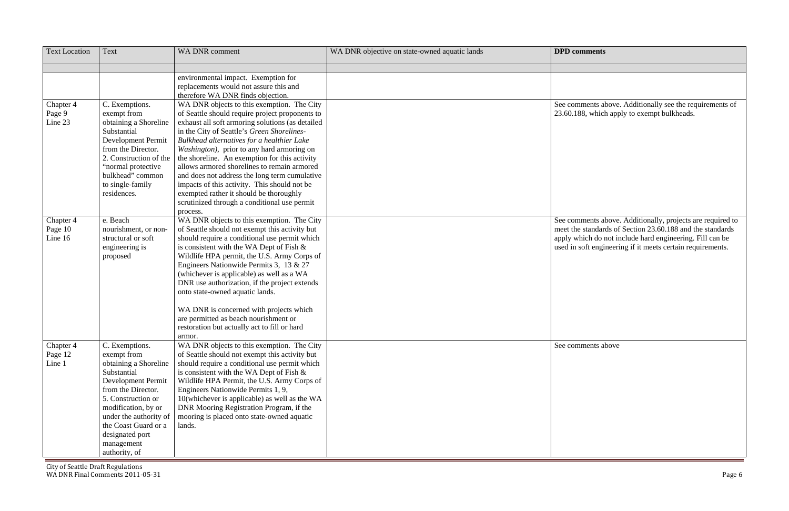| <b>Text Location</b>            | <b>Text</b>                                                                                                                                                                                                                                                        | WA DNR comment                                                                                                                                                                                                                                                                                                                                                                                                                                                                                                                                                                                      | WA DNR objective on state-owned aquatic lands | <b>DPD</b> comments                                                                                                                                                                                                                               |
|---------------------------------|--------------------------------------------------------------------------------------------------------------------------------------------------------------------------------------------------------------------------------------------------------------------|-----------------------------------------------------------------------------------------------------------------------------------------------------------------------------------------------------------------------------------------------------------------------------------------------------------------------------------------------------------------------------------------------------------------------------------------------------------------------------------------------------------------------------------------------------------------------------------------------------|-----------------------------------------------|---------------------------------------------------------------------------------------------------------------------------------------------------------------------------------------------------------------------------------------------------|
|                                 |                                                                                                                                                                                                                                                                    |                                                                                                                                                                                                                                                                                                                                                                                                                                                                                                                                                                                                     |                                               |                                                                                                                                                                                                                                                   |
|                                 |                                                                                                                                                                                                                                                                    | environmental impact. Exemption for<br>replacements would not assure this and<br>therefore WA DNR finds objection.                                                                                                                                                                                                                                                                                                                                                                                                                                                                                  |                                               |                                                                                                                                                                                                                                                   |
| Chapter 4<br>Page 9<br>Line 23  | C. Exemptions.<br>exempt from<br>obtaining a Shoreline<br>Substantial<br>Development Permit<br>from the Director.<br>2. Construction of the<br>"normal protective<br>bulkhead" common<br>to single-family<br>residences.                                           | WA DNR objects to this exemption. The City<br>of Seattle should require project proponents to<br>exhaust all soft armoring solutions (as detailed<br>in the City of Seattle's Green Shorelines-<br>Bulkhead alternatives for a healthier Lake<br>Washington), prior to any hard armoring on<br>the shoreline. An exemption for this activity<br>allows armored shorelines to remain armored<br>and does not address the long term cumulative<br>impacts of this activity. This should not be<br>exempted rather it should be thoroughly<br>scrutinized through a conditional use permit<br>process. |                                               | See comments above. Additionally see the requirements of<br>23.60.188, which apply to exempt bulkheads.                                                                                                                                           |
| Chapter 4<br>Page 10<br>Line 16 | e. Beach<br>nourishment, or non-<br>structural or soft<br>engineering is<br>proposed                                                                                                                                                                               | WA DNR objects to this exemption. The City<br>of Seattle should not exempt this activity but<br>should require a conditional use permit which<br>is consistent with the WA Dept of Fish $\&$<br>Wildlife HPA permit, the U.S. Army Corps of<br>Engineers Nationwide Permits 3, 13 & 27<br>(whichever is applicable) as well as a WA<br>DNR use authorization, if the project extends<br>onto state-owned aquatic lands.<br>WA DNR is concerned with projects which<br>are permitted as beach nourishment or<br>restoration but actually act to fill or hard                                         |                                               | See comments above. Additionally, projects are required to<br>meet the standards of Section 23.60.188 and the standards<br>apply which do not include hard engineering. Fill can be<br>used in soft engineering if it meets certain requirements. |
| Chapter 4<br>Page 12<br>Line 1  | C. Exemptions.<br>exempt from<br>obtaining a Shoreline<br>Substantial<br>Development Permit<br>from the Director.<br>5. Construction or<br>modification, by or<br>under the authority of<br>the Coast Guard or a<br>designated port<br>management<br>authority, of | armor.<br>WA DNR objects to this exemption. The City<br>of Seattle should not exempt this activity but<br>should require a conditional use permit which<br>is consistent with the WA Dept of Fish $\&$<br>Wildlife HPA Permit, the U.S. Army Corps of<br>Engineers Nationwide Permits 1, 9,<br>10(whichever is applicable) as well as the WA<br>DNR Mooring Registration Program, if the<br>mooring is placed onto state-owned aquatic<br>lands.                                                                                                                                                    |                                               | See comments above                                                                                                                                                                                                                                |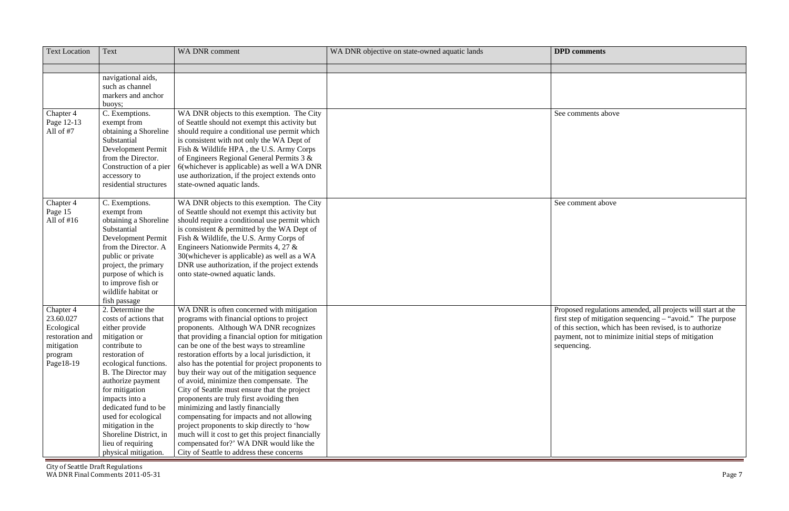| navigational aids,<br>such as channel<br>markers and anchor<br>buoys;<br>C. Exemptions.<br>WA DNR objects to this exemption. The City<br>Chapter 4<br>See comments above<br>Page 12-13<br>of Seattle should not exempt this activity but<br>exempt from<br>All of #7<br>should require a conditional use permit which<br>obtaining a Shoreline<br>is consistent with not only the WA Dept of<br>Substantial<br>Fish & Wildlife HPA, the U.S. Army Corps<br>Development Permit |  |
|-------------------------------------------------------------------------------------------------------------------------------------------------------------------------------------------------------------------------------------------------------------------------------------------------------------------------------------------------------------------------------------------------------------------------------------------------------------------------------|--|
|                                                                                                                                                                                                                                                                                                                                                                                                                                                                               |  |
|                                                                                                                                                                                                                                                                                                                                                                                                                                                                               |  |
|                                                                                                                                                                                                                                                                                                                                                                                                                                                                               |  |
|                                                                                                                                                                                                                                                                                                                                                                                                                                                                               |  |
|                                                                                                                                                                                                                                                                                                                                                                                                                                                                               |  |
|                                                                                                                                                                                                                                                                                                                                                                                                                                                                               |  |
|                                                                                                                                                                                                                                                                                                                                                                                                                                                                               |  |
|                                                                                                                                                                                                                                                                                                                                                                                                                                                                               |  |
|                                                                                                                                                                                                                                                                                                                                                                                                                                                                               |  |
|                                                                                                                                                                                                                                                                                                                                                                                                                                                                               |  |
| of Engineers Regional General Permits 3 &<br>from the Director.                                                                                                                                                                                                                                                                                                                                                                                                               |  |
| 6(whichever is applicable) as well a WA DNR<br>Construction of a pier                                                                                                                                                                                                                                                                                                                                                                                                         |  |
| use authorization, if the project extends onto<br>accessory to                                                                                                                                                                                                                                                                                                                                                                                                                |  |
| state-owned aquatic lands.<br>residential structures                                                                                                                                                                                                                                                                                                                                                                                                                          |  |
| WA DNR objects to this exemption. The City<br>Chapter 4<br>C. Exemptions.<br>See comment above                                                                                                                                                                                                                                                                                                                                                                                |  |
| Page 15<br>of Seattle should not exempt this activity but<br>exempt from                                                                                                                                                                                                                                                                                                                                                                                                      |  |
| All of $#16$<br>obtaining a Shoreline<br>should require a conditional use permit which                                                                                                                                                                                                                                                                                                                                                                                        |  |
| is consistent & permitted by the WA Dept of<br>Substantial                                                                                                                                                                                                                                                                                                                                                                                                                    |  |
| Development Permit<br>Fish & Wildlife, the U.S. Army Corps of                                                                                                                                                                                                                                                                                                                                                                                                                 |  |
| Engineers Nationwide Permits 4, 27 &<br>from the Director. A                                                                                                                                                                                                                                                                                                                                                                                                                  |  |
| 30(whichever is applicable) as well as a WA<br>public or private                                                                                                                                                                                                                                                                                                                                                                                                              |  |
| DNR use authorization, if the project extends<br>project, the primary                                                                                                                                                                                                                                                                                                                                                                                                         |  |
| purpose of which is<br>onto state-owned aquatic lands.<br>to improve fish or                                                                                                                                                                                                                                                                                                                                                                                                  |  |
| wildlife habitat or                                                                                                                                                                                                                                                                                                                                                                                                                                                           |  |
| fish passage                                                                                                                                                                                                                                                                                                                                                                                                                                                                  |  |
| 2. Determine the<br>WA DNR is often concerned with mitigation<br>Proposed regulations amended, all projects will start at the<br>Chapter 4                                                                                                                                                                                                                                                                                                                                    |  |
| 23.60.027<br>programs with financial options to project<br>first step of mitigation sequencing - "avoid." The purpose<br>costs of actions that                                                                                                                                                                                                                                                                                                                                |  |
| proponents. Although WA DNR recognizes<br>of this section, which has been revised, is to authorize<br>Ecological<br>either provide                                                                                                                                                                                                                                                                                                                                            |  |
| that providing a financial option for mitigation<br>mitigation or<br>payment, not to minimize initial steps of mitigation<br>restoration and                                                                                                                                                                                                                                                                                                                                  |  |
| can be one of the best ways to streamline<br>contribute to<br>mitigation<br>sequencing.                                                                                                                                                                                                                                                                                                                                                                                       |  |
| restoration efforts by a local jurisdiction, it<br>restoration of<br>program                                                                                                                                                                                                                                                                                                                                                                                                  |  |
| Page18-19<br>also has the potential for project proponents to<br>ecological functions.                                                                                                                                                                                                                                                                                                                                                                                        |  |
| B. The Director may<br>buy their way out of the mitigation sequence                                                                                                                                                                                                                                                                                                                                                                                                           |  |
| of avoid, minimize then compensate. The<br>authorize payment                                                                                                                                                                                                                                                                                                                                                                                                                  |  |
| for mitigation<br>City of Seattle must ensure that the project                                                                                                                                                                                                                                                                                                                                                                                                                |  |
| impacts into a<br>proponents are truly first avoiding then<br>minimizing and lastly financially<br>dedicated fund to be                                                                                                                                                                                                                                                                                                                                                       |  |
| used for ecological<br>compensating for impacts and not allowing                                                                                                                                                                                                                                                                                                                                                                                                              |  |
| mitigation in the<br>project proponents to skip directly to 'how                                                                                                                                                                                                                                                                                                                                                                                                              |  |
| Shoreline District, in<br>much will it cost to get this project financially                                                                                                                                                                                                                                                                                                                                                                                                   |  |
| lieu of requiring<br>compensated for?' WA DNR would like the                                                                                                                                                                                                                                                                                                                                                                                                                  |  |
| City of Seattle to address these concerns<br>physical mitigation.                                                                                                                                                                                                                                                                                                                                                                                                             |  |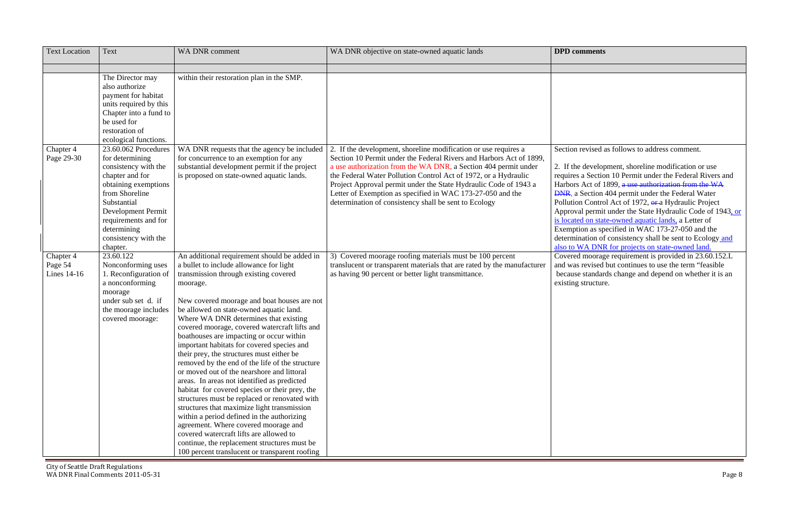Section revised as follows to address comment.

e development, shoreline modification or use a Section 10 Permit under the Federal Rivers and Act of 1899, a use authorization from the WA Section 404 permit under the Federal Water on Control Act of 1972, or a Hydraulic Project al permit under the State Hydraulic Code of 1943, or ed on state-owned aquatic lands, a Letter of tion as specified in WAC 173-27-050 and the nation of consistency shall be sent to Ecology and WA DNR for projects on state-owned land.  $\overline{\text{I}^{\text{1}}$  moorage requirement is provided in 23.60.152.L and was revised but continues to use the term "feasible because standards change and depend on whether it is an structure.

| <b>Text Location</b>                | Text                                                                                                                                                                                                                                         | <b>WA DNR comment</b>                                                                                                                                                                                                                                                                                                                                                                                                                                                                                                                                                                                                                                                                                                                                                                                                                                                                                                                                                                                        | WA DNR objective on state-owned aquatic lands                                                                                                                                                                                                                                                                                                                                                                                                                           | <b>DPD</b> comments                                                                                                                                                                                                                   |
|-------------------------------------|----------------------------------------------------------------------------------------------------------------------------------------------------------------------------------------------------------------------------------------------|--------------------------------------------------------------------------------------------------------------------------------------------------------------------------------------------------------------------------------------------------------------------------------------------------------------------------------------------------------------------------------------------------------------------------------------------------------------------------------------------------------------------------------------------------------------------------------------------------------------------------------------------------------------------------------------------------------------------------------------------------------------------------------------------------------------------------------------------------------------------------------------------------------------------------------------------------------------------------------------------------------------|-------------------------------------------------------------------------------------------------------------------------------------------------------------------------------------------------------------------------------------------------------------------------------------------------------------------------------------------------------------------------------------------------------------------------------------------------------------------------|---------------------------------------------------------------------------------------------------------------------------------------------------------------------------------------------------------------------------------------|
|                                     |                                                                                                                                                                                                                                              |                                                                                                                                                                                                                                                                                                                                                                                                                                                                                                                                                                                                                                                                                                                                                                                                                                                                                                                                                                                                              |                                                                                                                                                                                                                                                                                                                                                                                                                                                                         |                                                                                                                                                                                                                                       |
|                                     | The Director may<br>also authorize<br>payment for habitat<br>units required by this<br>Chapter into a fund to<br>be used for<br>restoration of<br>ecological functions.                                                                      | within their restoration plan in the SMP.                                                                                                                                                                                                                                                                                                                                                                                                                                                                                                                                                                                                                                                                                                                                                                                                                                                                                                                                                                    |                                                                                                                                                                                                                                                                                                                                                                                                                                                                         |                                                                                                                                                                                                                                       |
| Chapter 4<br>Page 29-30             | 23.60.062 Procedures<br>for determining<br>consistency with the<br>chapter and for<br>obtaining exemptions<br>from Shoreline<br>Substantial<br>Development Permit<br>requirements and for<br>determining<br>consistency with the<br>chapter. | WA DNR requests that the agency be included<br>for concurrence to an exemption for any<br>substantial development permit if the project<br>is proposed on state-owned aquatic lands.                                                                                                                                                                                                                                                                                                                                                                                                                                                                                                                                                                                                                                                                                                                                                                                                                         | 2. If the development, shoreline modification or use requires a<br>Section 10 Permit under the Federal Rivers and Harbors Act of 1899,<br>a use authorization from the WA DNR, a Section 404 permit under<br>the Federal Water Pollution Control Act of 1972, or a Hydraulic<br>Project Approval permit under the State Hydraulic Code of 1943 a<br>Letter of Exemption as specified in WAC 173-27-050 and the<br>determination of consistency shall be sent to Ecology | Section revised a<br>2. If the develop<br>requires a Section<br>Harbors Act of 1<br><b>DNR</b> , a Section 4<br>Pollution Control<br>Approval permit<br>is located on state<br>Exemption as spe<br>determination of<br>also to WA DNR |
| Chapter 4<br>Page 54<br>Lines 14-16 | 23.60.122<br>Nonconforming uses<br>1. Reconfiguration of<br>a nonconforming<br>moorage<br>under sub set d. if<br>the moorage includes<br>covered moorage:                                                                                    | An additional requirement should be added in<br>a bullet to include allowance for light<br>transmission through existing covered<br>moorage.<br>New covered moorage and boat houses are not<br>be allowed on state-owned aquatic land.<br>Where WA DNR determines that existing<br>covered moorage, covered watercraft lifts and<br>boathouses are impacting or occur within<br>important habitats for covered species and<br>their prey, the structures must either be<br>removed by the end of the life of the structure<br>or moved out of the nearshore and littoral<br>areas. In areas not identified as predicted<br>habitat for covered species or their prey, the<br>structures must be replaced or renovated with<br>structures that maximize light transmission<br>within a period defined in the authorizing<br>agreement. Where covered moorage and<br>covered watercraft lifts are allowed to<br>continue, the replacement structures must be<br>100 percent translucent or transparent roofing | 3) Covered moorage roofing materials must be 100 percent<br>translucent or transparent materials that are rated by the manufacturer<br>as having 90 percent or better light transmittance.                                                                                                                                                                                                                                                                              | Covered moorage<br>and was revised l<br>because standard<br>existing structure                                                                                                                                                        |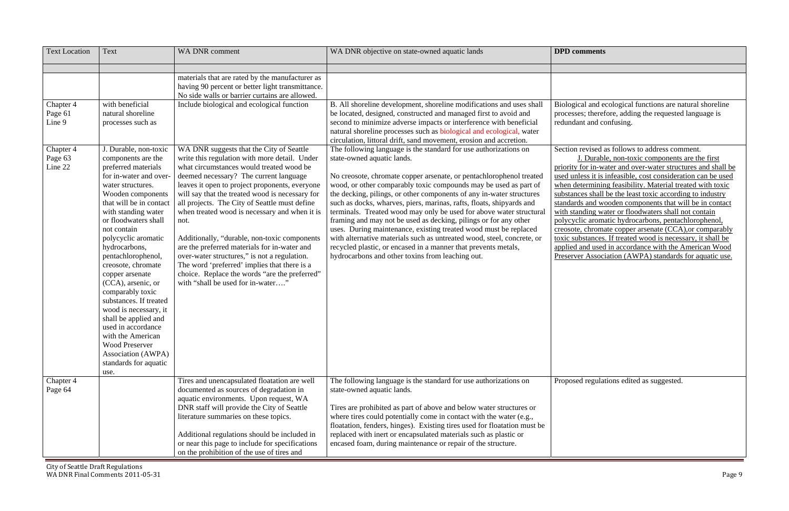cal and ecological functions are natural shoreline es; therefore, adding the requested language is and confusing.

Section revised as follows to address comment. J. Durable, non-toxic components are the first for in-water and over-water structures and shall be less it is infeasible, cost consideration can be used termining feasibility. Material treated with toxic the shall be the least toxic according to industry Is and wooden components that will be in contact with standing water or floodwaters shall not contain polycyclic aromatic hydrocarbons, pentachlorophenol, chromate copper arsenate (CCA),or comparably bstances. If treated wood is necessary, it shall be and used in accordance with the American Wood er Association (AWPA) standards for aquatic use.

ed regulations edited as suggested.

| <b>Text Location</b>                                              | <b>Text</b>                                                                                                                                                                                                                                                                                                                          | <b>WA DNR comment</b>                                                                                                                                                                                                                                                                                                                                                                                                                                                                                                                                                                                                                                                                                 | WA DNR objective on state-owned aquatic lands                                                                                                                                                                                                                                                                                                                                                                                                                                                                                                                                                                                                                                                                                                                                                                                                                                                                                                                                                                                                                                                                        | <b>DPD</b> comments                                                                                                                                                                                                                                                                                            |
|-------------------------------------------------------------------|--------------------------------------------------------------------------------------------------------------------------------------------------------------------------------------------------------------------------------------------------------------------------------------------------------------------------------------|-------------------------------------------------------------------------------------------------------------------------------------------------------------------------------------------------------------------------------------------------------------------------------------------------------------------------------------------------------------------------------------------------------------------------------------------------------------------------------------------------------------------------------------------------------------------------------------------------------------------------------------------------------------------------------------------------------|----------------------------------------------------------------------------------------------------------------------------------------------------------------------------------------------------------------------------------------------------------------------------------------------------------------------------------------------------------------------------------------------------------------------------------------------------------------------------------------------------------------------------------------------------------------------------------------------------------------------------------------------------------------------------------------------------------------------------------------------------------------------------------------------------------------------------------------------------------------------------------------------------------------------------------------------------------------------------------------------------------------------------------------------------------------------------------------------------------------------|----------------------------------------------------------------------------------------------------------------------------------------------------------------------------------------------------------------------------------------------------------------------------------------------------------------|
| Chapter 4<br>Page 61<br>Line 9<br>Chapter 4<br>Page 63<br>Line 22 | with beneficial<br>natural shoreline<br>processes such as<br>J. Durable, non-toxic<br>components are the<br>preferred materials<br>for in-water and over-<br>water structures.<br>Wooden components<br>that will be in contact<br>with standing water<br>or floodwaters shall<br>not contain<br>polycyclic aromatic<br>hydrocarbons, | materials that are rated by the manufacturer as<br>having 90 percent or better light transmittance.<br>No side walls or barrier curtains are allowed.<br>Include biological and ecological function<br>WA DNR suggests that the City of Seattle<br>write this regulation with more detail. Under<br>what circumstances would treated wood be<br>deemed necessary? The current language<br>leaves it open to project proponents, everyone<br>will say that the treated wood is necessary for<br>all projects. The City of Seattle must define<br>when treated wood is necessary and when it is<br>not.<br>Additionally, "durable, non-toxic components<br>are the preferred materials for in-water and | B. All shoreline development, shoreline modifications and uses shall<br>be located, designed, constructed and managed first to avoid and<br>second to minimize adverse impacts or interference with beneficial<br>natural shoreline processes such as biological and ecological, water<br>circulation, littoral drift, sand movement, erosion and accretion.<br>The following language is the standard for use authorizations on<br>state-owned aquatic lands.<br>No creosote, chromate copper arsenate, or pentachlorophenol treated<br>wood, or other comparably toxic compounds may be used as part of<br>the decking, pilings, or other components of any in-water structures<br>such as docks, wharves, piers, marinas, rafts, floats, shipyards and<br>terminals. Treated wood may only be used for above water structural<br>framing and may not be used as decking, pilings or for any other<br>uses. During maintenance, existing treated wood must be replaced<br>with alternative materials such as untreated wood, steel, concrete, or<br>recycled plastic, or encased in a manner that prevents metals, | Biological and ed<br>processes; therefo<br>redundant and co<br>Section revised a<br>J. Durable<br>priority for in-wa<br>used unless it is i<br>when determining<br>substances shall 1<br>standards and wo<br>with standing wa<br>polycyclic aroma<br>creosote, chroma<br>toxic substances.<br>applied and used |
|                                                                   | pentachlorophenol,<br>creosote, chromate<br>copper arsenate<br>(CCA), arsenic, or<br>comparably toxic<br>substances. If treated<br>wood is necessary, it<br>shall be applied and<br>used in accordance<br>with the American<br><b>Wood Preserver</b><br>Association (AWPA)<br>standards for aquatic<br>use.                          | over-water structures," is not a regulation.<br>The word 'preferred' implies that there is a<br>choice. Replace the words "are the preferred"<br>with "shall be used for in-water"                                                                                                                                                                                                                                                                                                                                                                                                                                                                                                                    | hydrocarbons and other toxins from leaching out.                                                                                                                                                                                                                                                                                                                                                                                                                                                                                                                                                                                                                                                                                                                                                                                                                                                                                                                                                                                                                                                                     | Preserver Associa                                                                                                                                                                                                                                                                                              |
| Chapter 4<br>Page 64                                              |                                                                                                                                                                                                                                                                                                                                      | Tires and unencapsulated floatation are well<br>documented as sources of degradation in<br>aquatic environments. Upon request, WA<br>DNR staff will provide the City of Seattle<br>literature summaries on these topics.<br>Additional regulations should be included in<br>or near this page to include for specifications<br>on the prohibition of the use of tires and                                                                                                                                                                                                                                                                                                                             | The following language is the standard for use authorizations on<br>state-owned aquatic lands.<br>Tires are prohibited as part of above and below water structures or<br>where tires could potentially come in contact with the water (e.g.,<br>floatation, fenders, hinges). Existing tires used for floatation must be<br>replaced with inert or encapsulated materials such as plastic or<br>encased foam, during maintenance or repair of the structure.                                                                                                                                                                                                                                                                                                                                                                                                                                                                                                                                                                                                                                                         | Proposed regulat                                                                                                                                                                                                                                                                                               |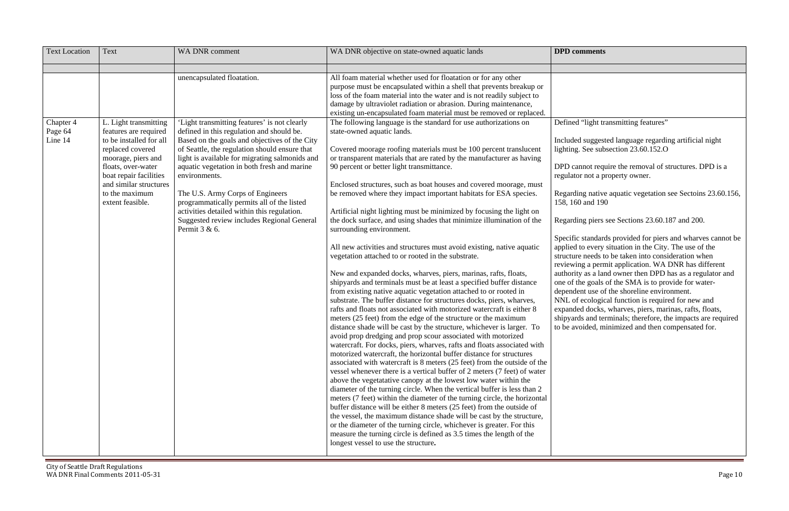"light transmitting features"

I suggested language regarding artificial night See subsection  $23.60.152.$ O

nnot require the removal of structures. DPD is a not a property owner.

ng native aquatic vegetation see Sectoins 23.60.156,  $\theta$  and 190

ng piers see Sections 23.60.187 and 200.

standards provided for piers and wharves cannot be to every situation in the City. The use of the structure needs to be taken into consideration when ng a permit application. WA DNR has different  $\alpha$  as a land owner then DPD has as a regulator and ne goals of the SMA is to provide for waterent use of the shoreline environment. ecological function is required for new and d docks, wharves, piers, marinas, rafts, floats, ls and terminals; therefore, the impacts are required bided, minimized and then compensated for.

| <b>Text Location</b>            | Text                                                                                                                                                                                                                                | <b>WA DNR</b> comment                                                                                                                                                                                                                                                                                                                                                                                                                                                                                            | WA DNR objective on state-owned aquatic lands                                                                                                                                                                                                                                                                                                                                                                                                                                                                                                                                                                                                                                                                                                                                                                                                                                                                                                                                                                                                                                                                                                                                                                                                                                                                                                                                                                                                                                                                                                                                                                                                                                                                                                                                                                                                                                                                                                                                                                                                                                                                                                                                                              | <b>DPD</b> comments                                                                                                                                                                                                                                                                                                                                                                                 |
|---------------------------------|-------------------------------------------------------------------------------------------------------------------------------------------------------------------------------------------------------------------------------------|------------------------------------------------------------------------------------------------------------------------------------------------------------------------------------------------------------------------------------------------------------------------------------------------------------------------------------------------------------------------------------------------------------------------------------------------------------------------------------------------------------------|------------------------------------------------------------------------------------------------------------------------------------------------------------------------------------------------------------------------------------------------------------------------------------------------------------------------------------------------------------------------------------------------------------------------------------------------------------------------------------------------------------------------------------------------------------------------------------------------------------------------------------------------------------------------------------------------------------------------------------------------------------------------------------------------------------------------------------------------------------------------------------------------------------------------------------------------------------------------------------------------------------------------------------------------------------------------------------------------------------------------------------------------------------------------------------------------------------------------------------------------------------------------------------------------------------------------------------------------------------------------------------------------------------------------------------------------------------------------------------------------------------------------------------------------------------------------------------------------------------------------------------------------------------------------------------------------------------------------------------------------------------------------------------------------------------------------------------------------------------------------------------------------------------------------------------------------------------------------------------------------------------------------------------------------------------------------------------------------------------------------------------------------------------------------------------------------------------|-----------------------------------------------------------------------------------------------------------------------------------------------------------------------------------------------------------------------------------------------------------------------------------------------------------------------------------------------------------------------------------------------------|
|                                 |                                                                                                                                                                                                                                     |                                                                                                                                                                                                                                                                                                                                                                                                                                                                                                                  |                                                                                                                                                                                                                                                                                                                                                                                                                                                                                                                                                                                                                                                                                                                                                                                                                                                                                                                                                                                                                                                                                                                                                                                                                                                                                                                                                                                                                                                                                                                                                                                                                                                                                                                                                                                                                                                                                                                                                                                                                                                                                                                                                                                                            |                                                                                                                                                                                                                                                                                                                                                                                                     |
|                                 |                                                                                                                                                                                                                                     | unencapsulated floatation.                                                                                                                                                                                                                                                                                                                                                                                                                                                                                       | All foam material whether used for floatation or for any other<br>purpose must be encapsulated within a shell that prevents breakup or<br>loss of the foam material into the water and is not readily subject to<br>damage by ultraviolet radiation or abrasion. During maintenance,<br>existing un-encapsulated foam material must be removed or replaced.                                                                                                                                                                                                                                                                                                                                                                                                                                                                                                                                                                                                                                                                                                                                                                                                                                                                                                                                                                                                                                                                                                                                                                                                                                                                                                                                                                                                                                                                                                                                                                                                                                                                                                                                                                                                                                                |                                                                                                                                                                                                                                                                                                                                                                                                     |
| Chapter 4<br>Page 64<br>Line 14 | L. Light transmitting<br>features are required<br>to be installed for all<br>replaced covered<br>moorage, piers and<br>floats, over-water<br>boat repair facilities<br>and similar structures<br>to the maximum<br>extent feasible. | 'Light transmitting features' is not clearly<br>defined in this regulation and should be.<br>Based on the goals and objectives of the City<br>of Seattle, the regulation should ensure that<br>light is available for migrating salmonids and<br>aquatic vegetation in both fresh and marine<br>environments.<br>The U.S. Army Corps of Engineers<br>programmatically permits all of the listed<br>activities detailed within this regulation.<br>Suggested review includes Regional General<br>Permit $3 & 6$ . | The following language is the standard for use authorizations on<br>state-owned aquatic lands.<br>Covered moorage roofing materials must be 100 percent translucent<br>or transparent materials that are rated by the manufacturer as having<br>90 percent or better light transmittance.<br>Enclosed structures, such as boat houses and covered moorage, must<br>be removed where they impact important habitats for ESA species.<br>Artificial night lighting must be minimized by focusing the light on<br>the dock surface, and using shades that minimize illumination of the<br>surrounding environment.<br>All new activities and structures must avoid existing, native aquatic<br>vegetation attached to or rooted in the substrate.<br>New and expanded docks, wharves, piers, marinas, rafts, floats,<br>shipyards and terminals must be at least a specified buffer distance<br>from existing native aquatic vegetation attached to or rooted in<br>substrate. The buffer distance for structures docks, piers, wharves,<br>rafts and floats not associated with motorized watercraft is either 8<br>meters (25 feet) from the edge of the structure or the maximum<br>distance shade will be cast by the structure, whichever is larger. To<br>avoid prop dredging and prop scour associated with motorized<br>watercraft. For docks, piers, wharves, rafts and floats associated with<br>motorized watercraft, the horizontal buffer distance for structures<br>associated with watercraft is 8 meters (25 feet) from the outside of the<br>vessel whenever there is a vertical buffer of 2 meters (7 feet) of water<br>above the vegetatative canopy at the lowest low water within the<br>diameter of the turning circle. When the vertical buffer is less than 2<br>meters (7 feet) within the diameter of the turning circle, the horizontal<br>buffer distance will be either 8 meters (25 feet) from the outside of<br>the vessel, the maximum distance shade will be cast by the structure,<br>or the diameter of the turning circle, whichever is greater. For this<br>measure the turning circle is defined as 3.5 times the length of the<br>longest vessel to use the structure. | Defined "light tra<br>Included suggest<br>lighting. See subs<br>DPD cannot requ<br>regulator not a pr<br>Regarding native<br>158, 160 and 190<br>Regarding piers s<br>Specific standard<br>applied to every<br>structure needs to<br>reviewing a perm<br>authority as a lan<br>one of the goals<br>dependent use of<br>NNL of ecologic<br>expanded docks,<br>shipyards and ter<br>to be avoided, mi |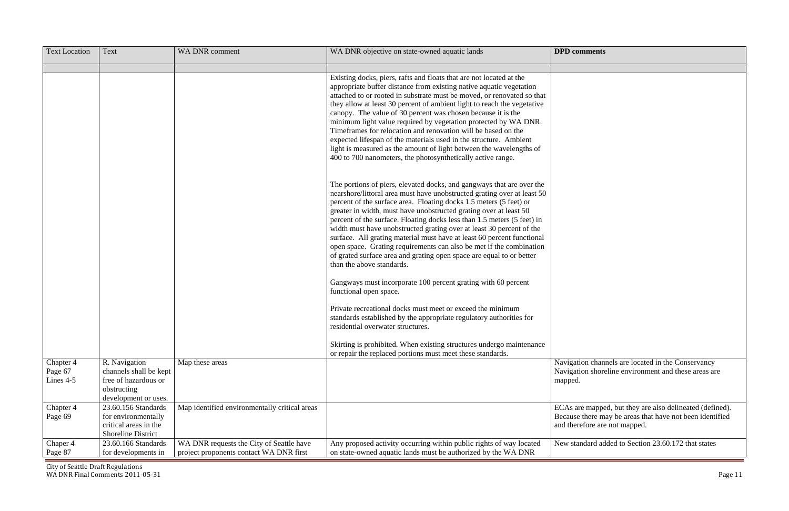| <b>Text Location</b>              | Text                                                                                                   | <b>WA DNR comment</b>                                                               | WA DNR objective on state-owned aquatic lands                                                                                                                                                                                                                                                                                                                                                                                                                                                                                                                                                                                                                                                        | <b>DPD</b> comments                                                                                                                                   |
|-----------------------------------|--------------------------------------------------------------------------------------------------------|-------------------------------------------------------------------------------------|------------------------------------------------------------------------------------------------------------------------------------------------------------------------------------------------------------------------------------------------------------------------------------------------------------------------------------------------------------------------------------------------------------------------------------------------------------------------------------------------------------------------------------------------------------------------------------------------------------------------------------------------------------------------------------------------------|-------------------------------------------------------------------------------------------------------------------------------------------------------|
|                                   |                                                                                                        |                                                                                     | Existing docks, piers, rafts and floats that are not located at the<br>appropriate buffer distance from existing native aquatic vegetation<br>attached to or rooted in substrate must be moved, or renovated so that<br>they allow at least 30 percent of ambient light to reach the vegetative<br>canopy. The value of 30 percent was chosen because it is the                                                                                                                                                                                                                                                                                                                                      |                                                                                                                                                       |
|                                   |                                                                                                        |                                                                                     | minimum light value required by vegetation protected by WA DNR.<br>Time frames for relocation and renovation will be based on the<br>expected lifespan of the materials used in the structure. Ambient<br>light is measured as the amount of light between the wavelengths of<br>400 to 700 nanometers, the photosynthetically active range.                                                                                                                                                                                                                                                                                                                                                         |                                                                                                                                                       |
|                                   |                                                                                                        |                                                                                     | The portions of piers, elevated docks, and gangways that are over the<br>nearshore/littoral area must have unobstructed grating over at least 50<br>percent of the surface area. Floating docks 1.5 meters (5 feet) or<br>greater in width, must have unobstructed grating over at least 50<br>percent of the surface. Floating docks less than 1.5 meters (5 feet) in<br>width must have unobstructed grating over at least 30 percent of the<br>surface. All grating material must have at least 60 percent functional<br>open space. Grating requirements can also be met if the combination<br>of grated surface area and grating open space are equal to or better<br>than the above standards. |                                                                                                                                                       |
|                                   |                                                                                                        |                                                                                     | Gangways must incorporate 100 percent grating with 60 percent<br>functional open space.                                                                                                                                                                                                                                                                                                                                                                                                                                                                                                                                                                                                              |                                                                                                                                                       |
|                                   |                                                                                                        |                                                                                     | Private recreational docks must meet or exceed the minimum<br>standards established by the appropriate regulatory authorities for<br>residential overwater structures.                                                                                                                                                                                                                                                                                                                                                                                                                                                                                                                               |                                                                                                                                                       |
|                                   |                                                                                                        |                                                                                     | Skirting is prohibited. When existing structures undergo maintenance<br>or repair the replaced portions must meet these standards.                                                                                                                                                                                                                                                                                                                                                                                                                                                                                                                                                                   |                                                                                                                                                       |
| Chapter 4<br>Page 67<br>Lines 4-5 | R. Navigation<br>channels shall be kept<br>free of hazardous or<br>obstructing<br>development or uses. | Map these areas                                                                     |                                                                                                                                                                                                                                                                                                                                                                                                                                                                                                                                                                                                                                                                                                      | Navigation channels are located in the Conservancy<br>Navigation shoreline environment and these areas are<br>mapped.                                 |
| Chapter 4<br>Page 69              | 23.60.156 Standards<br>for environmentally<br>critical areas in the<br><b>Shoreline District</b>       | Map identified environmentally critical areas                                       |                                                                                                                                                                                                                                                                                                                                                                                                                                                                                                                                                                                                                                                                                                      | ECAs are mapped, but they are also delineated (defined).<br>Because there may be areas that have not been identified<br>and therefore are not mapped. |
| Chaper 4<br>Page 87               | 23.60.166 Standards<br>for developments in                                                             | WA DNR requests the City of Seattle have<br>project proponents contact WA DNR first | Any proposed activity occurring within public rights of way located<br>on state-owned aquatic lands must be authorized by the WA DNR                                                                                                                                                                                                                                                                                                                                                                                                                                                                                                                                                                 | New standard added to Section 23.60.172 that states                                                                                                   |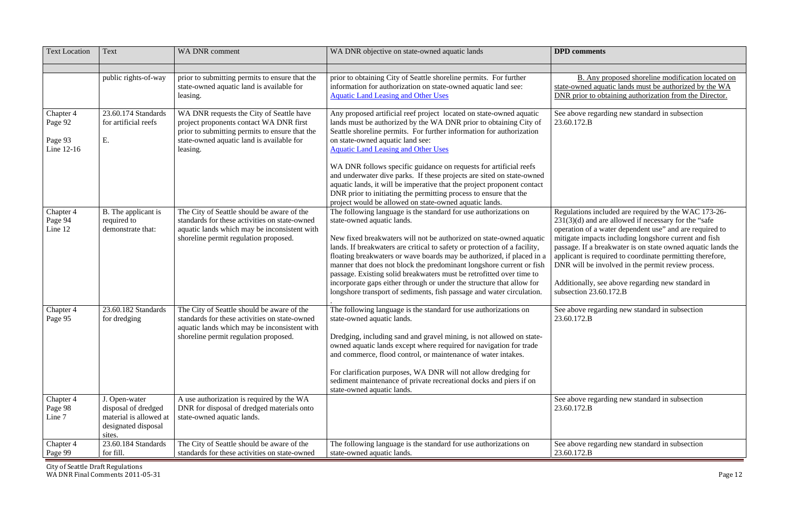B. Any proposed shoreline modification located on ined aquatic lands must be authorized by the WA ior to obtaining authorization from the Director.

ve regarding new standard in subsection

Regulations included are required by the WAC 173-26- 231(3)(d) and are allowed if necessary for the "safe operation of a water dependent use" and are required to impacts including longshore current and fish If a breakwater is on state owned aquatic lands the applicant is required to coordinate permitting therefore, ill be involved in the permit review process.

hally, see above regarding new standard in subsection 23.60.172.B

ve regarding new standard in subsection

ve regarding new standard in subsection

ve regarding new standard in subsection  $72.B$ 

| <b>Text Location</b>                          | <b>Text</b>                                                                                     | <b>WA DNR comment</b>                                                                                                                                                                          | WA DNR objective on state-owned aquatic lands                                                                                                                                                                                                                                                                                                                                                                                                                                                                                                                                                                                                              | <b>DPD</b> comments                                                                                                                                                                        |
|-----------------------------------------------|-------------------------------------------------------------------------------------------------|------------------------------------------------------------------------------------------------------------------------------------------------------------------------------------------------|------------------------------------------------------------------------------------------------------------------------------------------------------------------------------------------------------------------------------------------------------------------------------------------------------------------------------------------------------------------------------------------------------------------------------------------------------------------------------------------------------------------------------------------------------------------------------------------------------------------------------------------------------------|--------------------------------------------------------------------------------------------------------------------------------------------------------------------------------------------|
|                                               | public rights-of-way                                                                            | prior to submitting permits to ensure that the<br>state-owned aquatic land is available for<br>leasing.                                                                                        | prior to obtaining City of Seattle shoreline permits. For further<br>information for authorization on state-owned aquatic land see:<br><b>Aquatic Land Leasing and Other Uses</b>                                                                                                                                                                                                                                                                                                                                                                                                                                                                          | B. Any pi<br>state-owned aqua<br>DNR prior to obt                                                                                                                                          |
| Chapter 4<br>Page 92<br>Page 93<br>Line 12-16 | 23.60.174 Standards<br>for artificial reefs<br>Ε.                                               | WA DNR requests the City of Seattle have<br>project proponents contact WA DNR first<br>prior to submitting permits to ensure that the<br>state-owned aquatic land is available for<br>leasing. | Any proposed artificial reef project located on state-owned aquatic<br>lands must be authorized by the WA DNR prior to obtaining City of<br>Seattle shoreline permits. For further information for authorization<br>on state-owned aquatic land see:<br><b>Aquatic Land Leasing and Other Uses</b><br>WA DNR follows specific guidance on requests for artificial reefs<br>and underwater dive parks. If these projects are sited on state-owned<br>aquatic lands, it will be imperative that the project proponent contact<br>DNR prior to initiating the permitting process to ensure that the<br>project would be allowed on state-owned aquatic lands. | See above regard<br>23.60.172.B                                                                                                                                                            |
| Chapter 4<br>Page 94<br>Line 12               | B. The applicant is<br>required to<br>demonstrate that:                                         | The City of Seattle should be aware of the<br>standards for these activities on state-owned<br>aquatic lands which may be inconsistent with<br>shoreline permit regulation proposed.           | The following language is the standard for use authorizations on<br>state-owned aquatic lands.<br>New fixed breakwaters will not be authorized on state-owned aquatic<br>lands. If breakwaters are critical to safety or protection of a facility,<br>floating breakwaters or wave boards may be authorized, if placed in a<br>manner that does not block the predominant longshore current or fish<br>passage. Existing solid breakwaters must be retrofitted over time to<br>incorporate gaps either through or under the structure that allow for<br>longshore transport of sediments, fish passage and water circulation.                              | Regulations inclu<br>$231(3)(d)$ and are<br>operation of a wa<br>mitigate impacts<br>passage. If a brea<br>applicant is requi<br>DNR will be invo<br>Additionally, see<br>subsection 23.60 |
| Chapter 4<br>Page 95                          | 23.60.182 Standards<br>for dredging                                                             | The City of Seattle should be aware of the<br>standards for these activities on state-owned<br>aquatic lands which may be inconsistent with<br>shoreline permit regulation proposed.           | The following language is the standard for use authorizations on<br>state-owned aquatic lands.<br>Dredging, including sand and gravel mining, is not allowed on state-<br>owned aquatic lands except where required for navigation for trade<br>and commerce, flood control, or maintenance of water intakes.<br>For clarification purposes, WA DNR will not allow dredging for<br>sediment maintenance of private recreational docks and piers if on<br>state-owned aquatic lands.                                                                                                                                                                        | See above regard<br>23.60.172.B                                                                                                                                                            |
| Chapter 4<br>Page 98<br>Line 7                | J. Open-water<br>disposal of dredged<br>material is allowed at<br>designated disposal<br>sites. | A use authorization is required by the WA<br>DNR for disposal of dredged materials onto<br>state-owned aquatic lands.                                                                          |                                                                                                                                                                                                                                                                                                                                                                                                                                                                                                                                                                                                                                                            | See above regard<br>23.60.172.B                                                                                                                                                            |
| Chapter 4<br>Page 99                          | 23.60.184 Standards<br>for fill.                                                                | The City of Seattle should be aware of the<br>standards for these activities on state-owned                                                                                                    | The following language is the standard for use authorizations on<br>state-owned aquatic lands.                                                                                                                                                                                                                                                                                                                                                                                                                                                                                                                                                             | See above regard<br>23.60.172.B                                                                                                                                                            |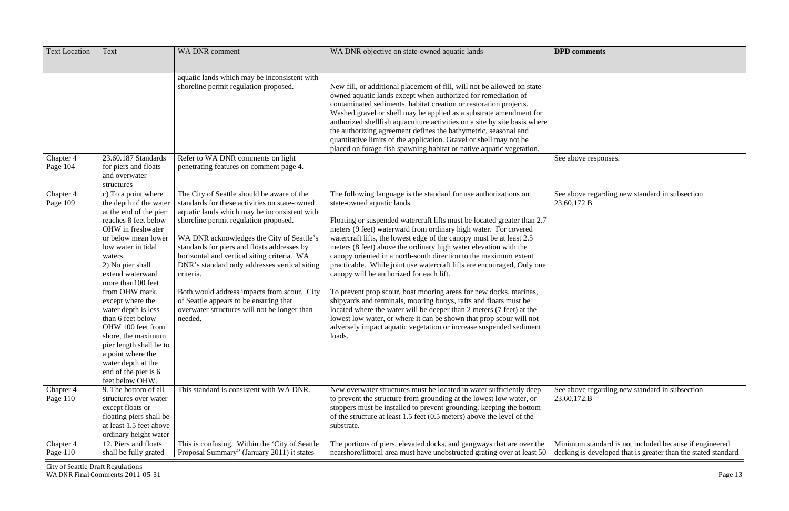we responses.

we regarding new standard in subsection

| <b>Text Location</b>  | Text                                                                                                                                                                                                                                                                                                                                                                                                                                                                                     | <b>WA DNR comment</b>                                                                                                                                                                                                                                                                                                                                                                                                                                                                                                                             | WA DNR objective on state-owned aquatic lands                                                                                                                                                                                                                                                                                                                                                                                                                                                                                                                                                                                                                                                                                                                                                                                                                                                                                                              | <b>DPD</b> comments                 |
|-----------------------|------------------------------------------------------------------------------------------------------------------------------------------------------------------------------------------------------------------------------------------------------------------------------------------------------------------------------------------------------------------------------------------------------------------------------------------------------------------------------------------|---------------------------------------------------------------------------------------------------------------------------------------------------------------------------------------------------------------------------------------------------------------------------------------------------------------------------------------------------------------------------------------------------------------------------------------------------------------------------------------------------------------------------------------------------|------------------------------------------------------------------------------------------------------------------------------------------------------------------------------------------------------------------------------------------------------------------------------------------------------------------------------------------------------------------------------------------------------------------------------------------------------------------------------------------------------------------------------------------------------------------------------------------------------------------------------------------------------------------------------------------------------------------------------------------------------------------------------------------------------------------------------------------------------------------------------------------------------------------------------------------------------------|-------------------------------------|
|                       |                                                                                                                                                                                                                                                                                                                                                                                                                                                                                          |                                                                                                                                                                                                                                                                                                                                                                                                                                                                                                                                                   |                                                                                                                                                                                                                                                                                                                                                                                                                                                                                                                                                                                                                                                                                                                                                                                                                                                                                                                                                            |                                     |
|                       |                                                                                                                                                                                                                                                                                                                                                                                                                                                                                          | aquatic lands which may be inconsistent with<br>shoreline permit regulation proposed.                                                                                                                                                                                                                                                                                                                                                                                                                                                             | New fill, or additional placement of fill, will not be allowed on state-<br>owned aquatic lands except when authorized for remediation of<br>contaminated sediments, habitat creation or restoration projects.<br>Washed gravel or shell may be applied as a substrate amendment for<br>authorized shellfish aquaculture activities on a site by site basis where<br>the authorizing agreement defines the bathymetric, seasonal and<br>quantitative limits of the application. Gravel or shell may not be<br>placed on forage fish spawning habitat or native aquatic vegetation.                                                                                                                                                                                                                                                                                                                                                                         |                                     |
| Chapter 4<br>Page 104 | 23.60.187 Standards<br>for piers and floats<br>and overwater<br>structures                                                                                                                                                                                                                                                                                                                                                                                                               | Refer to WA DNR comments on light<br>penetrating features on comment page 4.                                                                                                                                                                                                                                                                                                                                                                                                                                                                      |                                                                                                                                                                                                                                                                                                                                                                                                                                                                                                                                                                                                                                                                                                                                                                                                                                                                                                                                                            | See above respon                    |
| Chapter 4<br>Page 109 | c) To a point where<br>the depth of the water<br>at the end of the pier<br>reaches 8 feet below<br>OHW in freshwater<br>or below mean lower<br>low water in tidal<br>waters.<br>2) No pier shall<br>extend waterward<br>more than 100 feet<br>from OHW mark,<br>except where the<br>water depth is less<br>than 6 feet below<br>OHW 100 feet from<br>shore, the maximum<br>pier length shall be to<br>a point where the<br>water depth at the<br>end of the pier is 6<br>feet below OHW. | The City of Seattle should be aware of the<br>standards for these activities on state-owned<br>aquatic lands which may be inconsistent with<br>shoreline permit regulation proposed.<br>WA DNR acknowledges the City of Seattle's<br>standards for piers and floats addresses by<br>horizontal and vertical siting criteria. WA<br>DNR's standard only addresses vertical siting<br>criteria.<br>Both would address impacts from scour. City<br>of Seattle appears to be ensuring that<br>overwater structures will not be longer than<br>needed. | The following language is the standard for use authorizations on<br>state-owned aquatic lands.<br>Floating or suspended watercraft lifts must be located greater than 2.7<br>meters (9 feet) waterward from ordinary high water. For covered<br>watercraft lifts, the lowest edge of the canopy must be at least 2.5<br>meters (8 feet) above the ordinary high water elevation with the<br>canopy oriented in a north-south direction to the maximum extent<br>practicable. While joint use watercraft lifts are encouraged, Only one<br>canopy will be authorized for each lift.<br>To prevent prop scour, boat mooring areas for new docks, marinas,<br>shipyards and terminals, mooring buoys, rafts and floats must be<br>located where the water will be deeper than 2 meters (7 feet) at the<br>lowest low water, or where it can be shown that prop scour will not<br>adversely impact aquatic vegetation or increase suspended sediment<br>loads. | See above regard<br>23.60.172.B     |
| Chapter 4<br>Page 110 | 9. The bottom of all<br>structures over water<br>except floats or<br>floating piers shall be<br>at least 1.5 feet above<br>ordinary height water                                                                                                                                                                                                                                                                                                                                         | This standard is consistent with WA DNR.                                                                                                                                                                                                                                                                                                                                                                                                                                                                                                          | New overwater structures must be located in water sufficiently deep<br>to prevent the structure from grounding at the lowest low water, or<br>stoppers must be installed to prevent grounding, keeping the bottom<br>of the structure at least 1.5 feet (0.5 meters) above the level of the<br>substrate.                                                                                                                                                                                                                                                                                                                                                                                                                                                                                                                                                                                                                                                  | See above regard<br>23.60.172.B     |
| Chapter 4<br>Page 110 | 12. Piers and floats<br>shall be fully grated                                                                                                                                                                                                                                                                                                                                                                                                                                            | This is confusing. Within the 'City of Seattle'<br>Proposal Summary" (January 2011) it states                                                                                                                                                                                                                                                                                                                                                                                                                                                     | The portions of piers, elevated docks, and gangways that are over the<br>nearshore/littoral area must have unobstructed grating over at least 50                                                                                                                                                                                                                                                                                                                                                                                                                                                                                                                                                                                                                                                                                                                                                                                                           | Minimum standa<br>decking is develo |

See above regarding new standard in subsection

Minimum standard is not included because if engineered decking is developed that is greater than the stated standard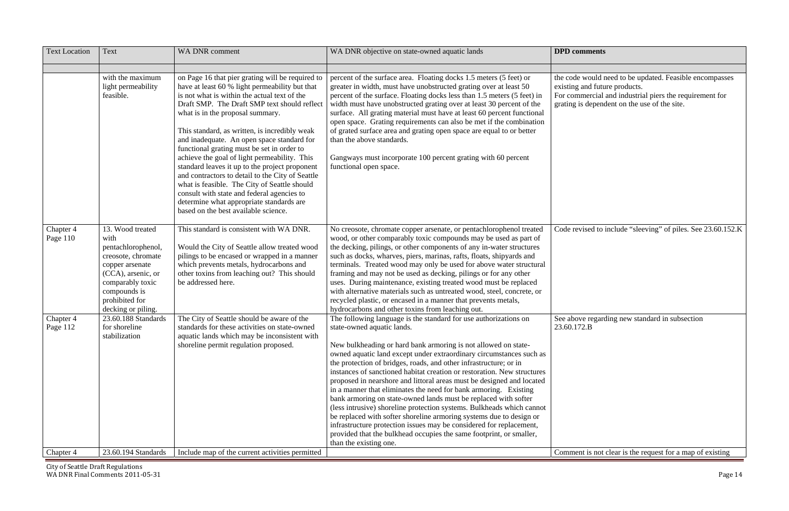the code would need to be updated. Feasible encompasses existing and future products.

For commercial and industrial piers the requirement for is dependent on the use of the site.

evised to include "sleeving" of piles. See 23.60.152.K

we regarding new standard in subsection

ent is not clear is the request for a map of existing

| <b>Text Location</b>  | <b>Text</b>                                                                                                                                                                               | <b>WA DNR comment</b>                                                                                                                                                                                                                                                                                                                                                                                                                                                                                                                                                                                                                                                                                                       | WA DNR objective on state-owned aquatic lands                                                                                                                                                                                                                                                                                                                                                                                                                                                                                                                                                                                                                                                                                                                                                                                                                                                                                   | <b>DPD</b> comments                                                              |
|-----------------------|-------------------------------------------------------------------------------------------------------------------------------------------------------------------------------------------|-----------------------------------------------------------------------------------------------------------------------------------------------------------------------------------------------------------------------------------------------------------------------------------------------------------------------------------------------------------------------------------------------------------------------------------------------------------------------------------------------------------------------------------------------------------------------------------------------------------------------------------------------------------------------------------------------------------------------------|---------------------------------------------------------------------------------------------------------------------------------------------------------------------------------------------------------------------------------------------------------------------------------------------------------------------------------------------------------------------------------------------------------------------------------------------------------------------------------------------------------------------------------------------------------------------------------------------------------------------------------------------------------------------------------------------------------------------------------------------------------------------------------------------------------------------------------------------------------------------------------------------------------------------------------|----------------------------------------------------------------------------------|
|                       | with the maximum<br>light permeability<br>feasible.                                                                                                                                       | on Page 16 that pier grating will be required to<br>have at least 60 % light permeability but that<br>is not what is within the actual text of the<br>Draft SMP. The Draft SMP text should reflect<br>what is in the proposal summary.<br>This standard, as written, is incredibly weak<br>and inadequate. An open space standard for<br>functional grating must be set in order to<br>achieve the goal of light permeability. This<br>standard leaves it up to the project proponent<br>and contractors to detail to the City of Seattle<br>what is feasible. The City of Seattle should<br>consult with state and federal agencies to<br>determine what appropriate standards are<br>based on the best available science. | percent of the surface area. Floating docks 1.5 meters (5 feet) or<br>greater in width, must have unobstructed grating over at least 50<br>percent of the surface. Floating docks less than 1.5 meters (5 feet) in<br>width must have unobstructed grating over at least 30 percent of the<br>surface. All grating material must have at least 60 percent functional<br>open space. Grating requirements can also be met if the combination<br>of grated surface area and grating open space are equal to or better<br>than the above standards.<br>Gangways must incorporate 100 percent grating with 60 percent<br>functional open space.                                                                                                                                                                                                                                                                                     | the code would n<br>existing and future<br>For commercial a<br>grating is depend |
| Chapter 4<br>Page 110 | 13. Wood treated<br>with<br>pentachlorophenol,<br>creosote, chromate<br>copper arsenate<br>(CCA), arsenic, or<br>comparably toxic<br>compounds is<br>prohibited for<br>decking or piling. | This standard is consistent with WA DNR.<br>Would the City of Seattle allow treated wood<br>pilings to be encased or wrapped in a manner<br>which prevents metals, hydrocarbons and<br>other toxins from leaching out? This should<br>be addressed here.                                                                                                                                                                                                                                                                                                                                                                                                                                                                    | No creosote, chromate copper arsenate, or pentachlorophenol treated<br>wood, or other comparably toxic compounds may be used as part of<br>the decking, pilings, or other components of any in-water structures<br>such as docks, wharves, piers, marinas, rafts, floats, shipyards and<br>terminals. Treated wood may only be used for above water structural<br>framing and may not be used as decking, pilings or for any other<br>uses. During maintenance, existing treated wood must be replaced<br>with alternative materials such as untreated wood, steel, concrete, or<br>recycled plastic, or encased in a manner that prevents metals,<br>hydrocarbons and other toxins from leaching out.                                                                                                                                                                                                                          | Code revised to i                                                                |
| Chapter 4<br>Page 112 | 23.60.188 Standards<br>for shoreline<br>stabilization                                                                                                                                     | The City of Seattle should be aware of the<br>standards for these activities on state-owned<br>aquatic lands which may be inconsistent with<br>shoreline permit regulation proposed.                                                                                                                                                                                                                                                                                                                                                                                                                                                                                                                                        | The following language is the standard for use authorizations on<br>state-owned aquatic lands.<br>New bulkheading or hard bank armoring is not allowed on state-<br>owned aquatic land except under extraordinary circumstances such as<br>the protection of bridges, roads, and other infrastructure; or in<br>instances of sanctioned habitat creation or restoration. New structures<br>proposed in nearshore and littoral areas must be designed and located<br>in a manner that eliminates the need for bank armoring. Existing<br>bank armoring on state-owned lands must be replaced with softer<br>(less intrusive) shoreline protection systems. Bulkheads which cannot<br>be replaced with softer shoreline armoring systems due to design or<br>infrastructure protection issues may be considered for replacement,<br>provided that the bulkhead occupies the same footprint, or smaller,<br>than the existing one. | See above regard<br>23.60.172.B                                                  |
| Chapter 4             | 23.60.194 Standards                                                                                                                                                                       | Include map of the current activities permitted                                                                                                                                                                                                                                                                                                                                                                                                                                                                                                                                                                                                                                                                             |                                                                                                                                                                                                                                                                                                                                                                                                                                                                                                                                                                                                                                                                                                                                                                                                                                                                                                                                 | Comment is not                                                                   |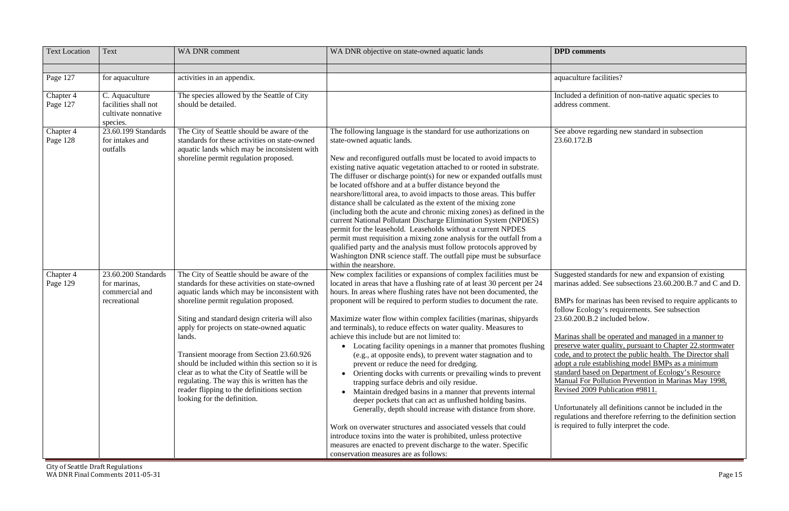I a definition of non-native aquatic species to address comment.

ve regarding new standard in subsection

| <b>Text Location</b>  | Text                                                                  | WA DNR comment                                                                                                                                                                                                                                                          | WA DNR objective on state-owned aquatic lands                                                                                                                                                                                                                                                                                                                                                                                                                                                                                                                                                                                                                                                                                                                                                                                                                                         | <b>DPD</b> comments                                                                                                                                                                                                      |
|-----------------------|-----------------------------------------------------------------------|-------------------------------------------------------------------------------------------------------------------------------------------------------------------------------------------------------------------------------------------------------------------------|---------------------------------------------------------------------------------------------------------------------------------------------------------------------------------------------------------------------------------------------------------------------------------------------------------------------------------------------------------------------------------------------------------------------------------------------------------------------------------------------------------------------------------------------------------------------------------------------------------------------------------------------------------------------------------------------------------------------------------------------------------------------------------------------------------------------------------------------------------------------------------------|--------------------------------------------------------------------------------------------------------------------------------------------------------------------------------------------------------------------------|
|                       |                                                                       |                                                                                                                                                                                                                                                                         |                                                                                                                                                                                                                                                                                                                                                                                                                                                                                                                                                                                                                                                                                                                                                                                                                                                                                       |                                                                                                                                                                                                                          |
| Page 127              | for aquaculture                                                       | activities in an appendix.                                                                                                                                                                                                                                              |                                                                                                                                                                                                                                                                                                                                                                                                                                                                                                                                                                                                                                                                                                                                                                                                                                                                                       | aquaculture facilities?                                                                                                                                                                                                  |
| Chapter 4<br>Page 127 | C. Aquaculture<br>facilities shall not                                | The species allowed by the Seattle of City<br>should be detailed.                                                                                                                                                                                                       |                                                                                                                                                                                                                                                                                                                                                                                                                                                                                                                                                                                                                                                                                                                                                                                                                                                                                       | Included a definition of<br>address comment.                                                                                                                                                                             |
|                       | cultivate nonnative<br>species.                                       |                                                                                                                                                                                                                                                                         |                                                                                                                                                                                                                                                                                                                                                                                                                                                                                                                                                                                                                                                                                                                                                                                                                                                                                       |                                                                                                                                                                                                                          |
| Chapter 4<br>Page 128 | 23.60.199 Standards<br>for intakes and<br>outfalls                    | The City of Seattle should be aware of the<br>standards for these activities on state-owned<br>aquatic lands which may be inconsistent with<br>shoreline permit regulation proposed.                                                                                    | The following language is the standard for use authorizations on<br>state-owned aquatic lands.<br>New and reconfigured outfalls must be located to avoid impacts to<br>existing native aquatic vegetation attached to or rooted in substrate.<br>The diffuser or discharge point(s) for new or expanded outfalls must<br>be located offshore and at a buffer distance beyond the<br>nearshore/littoral area, to avoid impacts to those areas. This buffer<br>distance shall be calculated as the extent of the mixing zone<br>(including both the acute and chronic mixing zones) as defined in the<br>current National Pollutant Discharge Elimination System (NPDES)<br>permit for the leasehold. Leaseholds without a current NPDES<br>permit must requisition a mixing zone analysis for the outfall from a<br>qualified party and the analysis must follow protocols approved by | See above regarding no<br>23.60.172.B                                                                                                                                                                                    |
|                       |                                                                       |                                                                                                                                                                                                                                                                         | Washington DNR science staff. The outfall pipe must be subsurface<br>within the nearshore.                                                                                                                                                                                                                                                                                                                                                                                                                                                                                                                                                                                                                                                                                                                                                                                            |                                                                                                                                                                                                                          |
| Chapter 4<br>Page 129 | 23.60.200 Standards<br>for marinas,<br>commercial and<br>recreational | The City of Seattle should be aware of the<br>standards for these activities on state-owned<br>aquatic lands which may be inconsistent with<br>shoreline permit regulation proposed.                                                                                    | New complex facilities or expansions of complex facilities must be<br>located in areas that have a flushing rate of at least 30 percent per 24<br>hours. In areas where flushing rates have not been documented, the<br>proponent will be required to perform studies to document the rate.                                                                                                                                                                                                                                                                                                                                                                                                                                                                                                                                                                                           | Suggested standards fo<br>marinas added. See sul<br>BMPs for marinas has                                                                                                                                                 |
|                       |                                                                       | Siting and standard design criteria will also<br>apply for projects on state-owned aquatic<br>lands.                                                                                                                                                                    | Maximize water flow within complex facilities (marinas, shipyards<br>and terminals), to reduce effects on water quality. Measures to<br>achieve this include but are not limited to:                                                                                                                                                                                                                                                                                                                                                                                                                                                                                                                                                                                                                                                                                                  | follow Ecology's requ<br>23.60.200.B.2 include<br>Marinas shall be opera                                                                                                                                                 |
|                       |                                                                       | Transient moorage from Section 23.60.926<br>should be included within this section so it is<br>clear as to what the City of Seattle will be<br>regulating. The way this is written has the<br>reader flipping to the definitions section<br>looking for the definition. | Locating facility openings in a manner that promotes flushing<br>(e.g., at opposite ends), to prevent water stagnation and to<br>prevent or reduce the need for dredging.<br>Orienting docks with currents or prevailing winds to prevent<br>trapping surface debris and oily residue.<br>Maintain dredged basins in a manner that prevents internal<br>deeper pockets that can act as unflushed holding basins.<br>Generally, depth should increase with distance from shore.                                                                                                                                                                                                                                                                                                                                                                                                        | preserve water quality.<br>code, and to protect the<br>adopt a rule establishin<br>standard based on Dep<br>Manual For Pollution 1<br><b>Revised 2009 Publicat</b><br>Unfortunately all defin<br>regulations and therefo |
|                       |                                                                       |                                                                                                                                                                                                                                                                         | Work on overwater structures and associated vessels that could<br>introduce toxins into the water is prohibited, unless protective<br>measures are enacted to prevent discharge to the water. Specific<br>conservation measures are as follows:                                                                                                                                                                                                                                                                                                                                                                                                                                                                                                                                                                                                                                       | is required to fully inte                                                                                                                                                                                                |

ed standards for new and expansion of existing marinas added. See subsections 23.60.200.B.7 and C and D.

by marinas has been revised to require applicants to Ecology's requirements. See subsection 23.60.200.B.2 included below.

shall be operated and managed in a manner to by water quality, pursuant to Chapter 22.stormwater d to protect the public health. The Director shall rule establishing model BMPs as a minimum standard based on Department of Ecology's Resource Manual For Pollution Prevention in Marinas May 1998, 2009 Publication #9811.

> nately all definitions cannot be included in the ons and therefore referring to the definition section ed to fully interpret the code.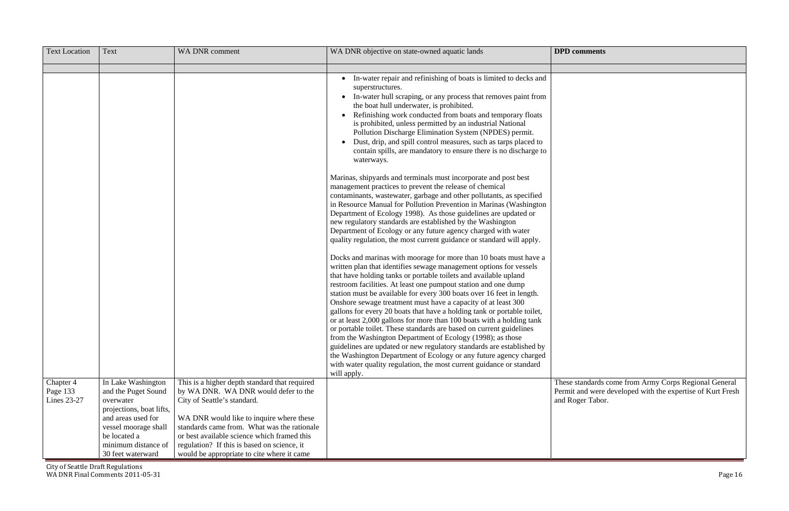| <b>Text Location</b>                 | Text                                                                                                                                                                                         | <b>WA DNR comment</b>                                                                                                                                                                                                                                                                                                                                       | WA DNR objective on state-owned aquatic lands                                                                                                                                                                                                                                                                                                                                                                                                                                                                                                                                                                                                                                                                                                                                                                                                                                               | <b>DPD</b> comments                                                                                                                     |
|--------------------------------------|----------------------------------------------------------------------------------------------------------------------------------------------------------------------------------------------|-------------------------------------------------------------------------------------------------------------------------------------------------------------------------------------------------------------------------------------------------------------------------------------------------------------------------------------------------------------|---------------------------------------------------------------------------------------------------------------------------------------------------------------------------------------------------------------------------------------------------------------------------------------------------------------------------------------------------------------------------------------------------------------------------------------------------------------------------------------------------------------------------------------------------------------------------------------------------------------------------------------------------------------------------------------------------------------------------------------------------------------------------------------------------------------------------------------------------------------------------------------------|-----------------------------------------------------------------------------------------------------------------------------------------|
|                                      |                                                                                                                                                                                              |                                                                                                                                                                                                                                                                                                                                                             |                                                                                                                                                                                                                                                                                                                                                                                                                                                                                                                                                                                                                                                                                                                                                                                                                                                                                             |                                                                                                                                         |
|                                      |                                                                                                                                                                                              |                                                                                                                                                                                                                                                                                                                                                             | In-water repair and refinishing of boats is limited to decks and<br>superstructures.<br>In-water hull scraping, or any process that removes paint from<br>the boat hull underwater, is prohibited.<br>Refinishing work conducted from boats and temporary floats<br>is prohibited, unless permitted by an industrial National<br>Pollution Discharge Elimination System (NPDES) permit.<br>Dust, drip, and spill control measures, such as tarps placed to<br>contain spills, are mandatory to ensure there is no discharge to<br>waterways.<br>Marinas, shipyards and terminals must incorporate and post best<br>management practices to prevent the release of chemical<br>contaminants, wastewater, garbage and other pollutants, as specified<br>in Resource Manual for Pollution Prevention in Marinas (Washington<br>Department of Ecology 1998). As those guidelines are updated or |                                                                                                                                         |
|                                      |                                                                                                                                                                                              |                                                                                                                                                                                                                                                                                                                                                             | new regulatory standards are established by the Washington<br>Department of Ecology or any future agency charged with water<br>quality regulation, the most current guidance or standard will apply.<br>Docks and marinas with moorage for more than 10 boats must have a<br>written plan that identifies sewage management options for vessels<br>that have holding tanks or portable toilets and available upland<br>restroom facilities. At least one pumpout station and one dump<br>station must be available for every 300 boats over 16 feet in length.                                                                                                                                                                                                                                                                                                                              |                                                                                                                                         |
|                                      |                                                                                                                                                                                              |                                                                                                                                                                                                                                                                                                                                                             | Onshore sewage treatment must have a capacity of at least 300<br>gallons for every 20 boats that have a holding tank or portable toilet,<br>or at least 2,000 gallons for more than 100 boats with a holding tank<br>or portable toilet. These standards are based on current guidelines<br>from the Washington Department of Ecology (1998); as those<br>guidelines are updated or new regulatory standards are established by<br>the Washington Department of Ecology or any future agency charged<br>with water quality regulation, the most current guidance or standard<br>will apply.                                                                                                                                                                                                                                                                                                 |                                                                                                                                         |
| Chapter 4<br>Page 133<br>Lines 23-27 | In Lake Washington<br>and the Puget Sound<br>overwater<br>projections, boat lifts,<br>and areas used for<br>vessel moorage shall<br>be located a<br>minimum distance of<br>30 feet waterward | This is a higher depth standard that required<br>by WA DNR. WA DNR would defer to the<br>City of Seattle's standard.<br>WA DNR would like to inquire where these<br>standards came from. What was the rationale<br>or best available science which framed this<br>regulation? If this is based on science, it<br>would be appropriate to cite where it came |                                                                                                                                                                                                                                                                                                                                                                                                                                                                                                                                                                                                                                                                                                                                                                                                                                                                                             | These standards come from Army Corps Regional General<br>Permit and were developed with the expertise of Kurt Fresh<br>and Roger Tabor. |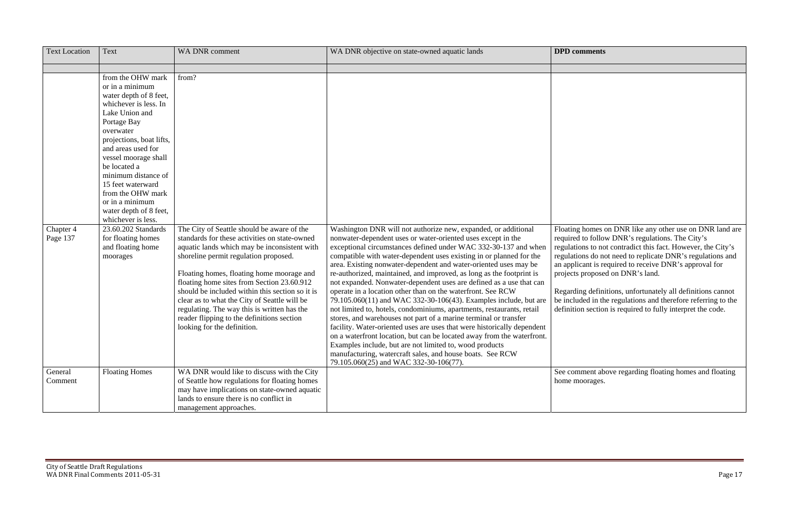Regarding definitions, unfortunately all definitions cannot be included in the regulations and therefore referring to the on section is required to fully interpret the code.

> nment above regarding floating homes and floating hoorages.

| <b>Text Location</b>  | Text                                                                                                                                                                                                                                                                                                                                                                | WA DNR comment                                                                                                                                                                                                                                                                                                                                                                                                                                                                                                 | WA DNR objective on state-owned aquatic lands                                                                                                                                                                                                                                                                                                                                                                                                                                                                                                                                                                                                                                                                                                                                                                                                                                                                                                                                                                                                                                                      | <b>DPD</b> comments                                                                                                                                                                          |
|-----------------------|---------------------------------------------------------------------------------------------------------------------------------------------------------------------------------------------------------------------------------------------------------------------------------------------------------------------------------------------------------------------|----------------------------------------------------------------------------------------------------------------------------------------------------------------------------------------------------------------------------------------------------------------------------------------------------------------------------------------------------------------------------------------------------------------------------------------------------------------------------------------------------------------|----------------------------------------------------------------------------------------------------------------------------------------------------------------------------------------------------------------------------------------------------------------------------------------------------------------------------------------------------------------------------------------------------------------------------------------------------------------------------------------------------------------------------------------------------------------------------------------------------------------------------------------------------------------------------------------------------------------------------------------------------------------------------------------------------------------------------------------------------------------------------------------------------------------------------------------------------------------------------------------------------------------------------------------------------------------------------------------------------|----------------------------------------------------------------------------------------------------------------------------------------------------------------------------------------------|
|                       |                                                                                                                                                                                                                                                                                                                                                                     |                                                                                                                                                                                                                                                                                                                                                                                                                                                                                                                |                                                                                                                                                                                                                                                                                                                                                                                                                                                                                                                                                                                                                                                                                                                                                                                                                                                                                                                                                                                                                                                                                                    |                                                                                                                                                                                              |
|                       | from the OHW mark<br>or in a minimum<br>water depth of 8 feet,<br>whichever is less. In<br>Lake Union and<br>Portage Bay<br>overwater<br>projections, boat lifts,<br>and areas used for<br>vessel moorage shall<br>be located a<br>minimum distance of<br>15 feet waterward<br>from the OHW mark<br>or in a minimum<br>water depth of 8 feet,<br>whichever is less. | from?                                                                                                                                                                                                                                                                                                                                                                                                                                                                                                          |                                                                                                                                                                                                                                                                                                                                                                                                                                                                                                                                                                                                                                                                                                                                                                                                                                                                                                                                                                                                                                                                                                    |                                                                                                                                                                                              |
| Chapter 4<br>Page 137 | 23.60.202 Standards<br>for floating homes<br>and floating home<br>moorages                                                                                                                                                                                                                                                                                          | The City of Seattle should be aware of the<br>standards for these activities on state-owned<br>aquatic lands which may be inconsistent with<br>shoreline permit regulation proposed.<br>Floating homes, floating home moorage and<br>floating home sites from Section 23.60.912<br>should be included within this section so it is<br>clear as to what the City of Seattle will be<br>regulating. The way this is written has the<br>reader flipping to the definitions section<br>looking for the definition. | Washington DNR will not authorize new, expanded, or additional<br>nonwater-dependent uses or water-oriented uses except in the<br>exceptional circumstances defined under WAC 332-30-137 and when<br>compatible with water-dependent uses existing in or planned for the<br>area. Existing nonwater-dependent and water-oriented uses may be<br>re-authorized, maintained, and improved, as long as the footprint is<br>not expanded. Nonwater-dependent uses are defined as a use that can<br>operate in a location other than on the waterfront. See RCW<br>79.105.060(11) and WAC 332-30-106(43). Examples include, but are<br>not limited to, hotels, condominiums, apartments, restaurants, retail<br>stores, and warehouses not part of a marine terminal or transfer<br>facility. Water-oriented uses are uses that were historically dependent<br>on a waterfront location, but can be located away from the waterfront.<br>Examples include, but are not limited to, wood products<br>manufacturing, watercraft sales, and house boats. See RCW<br>79.105.060(25) and WAC 332-30-106(77). | Floating homes o<br>required to follow<br>regulations to not<br>regulations do no<br>an applicant is re<br>projects proposed<br>Regarding defini<br>be included in the<br>definition section |
| General<br>Comment    | <b>Floating Homes</b>                                                                                                                                                                                                                                                                                                                                               | WA DNR would like to discuss with the City<br>of Seattle how regulations for floating homes<br>may have implications on state-owned aquatic<br>lands to ensure there is no conflict in<br>management approaches.                                                                                                                                                                                                                                                                                               |                                                                                                                                                                                                                                                                                                                                                                                                                                                                                                                                                                                                                                                                                                                                                                                                                                                                                                                                                                                                                                                                                                    | See comment abo<br>home moorages.                                                                                                                                                            |

Floating homes on DNR like any other use on DNR land are required to follow DNR's regulations. The City's ons to not contradict this fact. However, the City's ons do not need to replicate DNR's regulations and an applicant is required to receive DNR's approval for projects proposed on DNR's land.